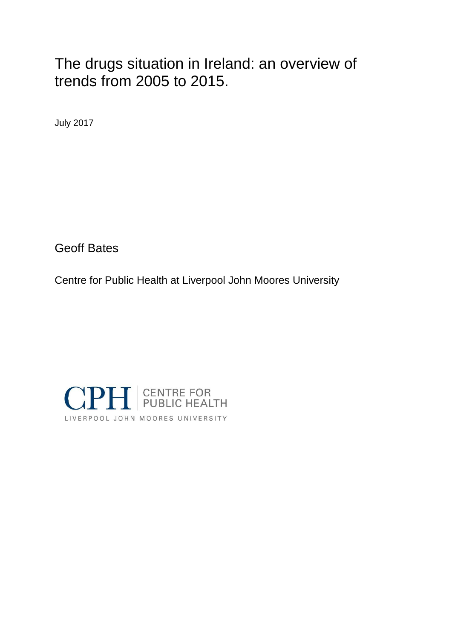# The drugs situation in Ireland: an overview of trends from 2005 to 2015.

July 2017

Geoff Bates

Centre for Public Health at Liverpool John Moores University

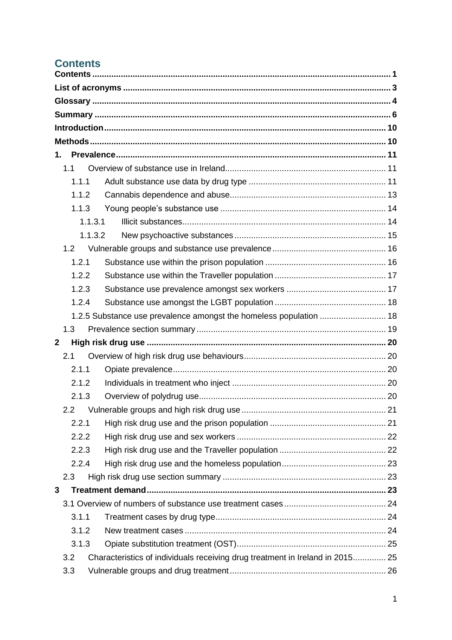# <span id="page-1-0"></span>**Contents**

| 1.               |                                                                               |  |
|------------------|-------------------------------------------------------------------------------|--|
| 1.1              |                                                                               |  |
| 1.1.1            |                                                                               |  |
| 1.1.2            |                                                                               |  |
| 1.1.3            |                                                                               |  |
| 1.1.3.1          |                                                                               |  |
| 1.1.3.2          |                                                                               |  |
| 1.2              |                                                                               |  |
| 1.2.1            |                                                                               |  |
| 1.2.2            |                                                                               |  |
| 1.2.3            |                                                                               |  |
| 1.2.4            |                                                                               |  |
|                  | 1.2.5 Substance use prevalence amongst the homeless population  18            |  |
| 1.3              |                                                                               |  |
| $\boldsymbol{2}$ |                                                                               |  |
| 2.1              |                                                                               |  |
| 2.1.1            |                                                                               |  |
| 2.1.2            |                                                                               |  |
| 2.1.3            |                                                                               |  |
|                  |                                                                               |  |
| 2.2.1            |                                                                               |  |
| 2.2.2            |                                                                               |  |
| 2.2.3            |                                                                               |  |
| 2.2.4            |                                                                               |  |
| 2.3              |                                                                               |  |
| 3                |                                                                               |  |
|                  |                                                                               |  |
| 3.1.1            |                                                                               |  |
| 3.1.2            |                                                                               |  |
| 3.1.3            |                                                                               |  |
| 3.2              | Characteristics of individuals receiving drug treatment in Ireland in 2015 25 |  |
| 3.3              |                                                                               |  |
|                  |                                                                               |  |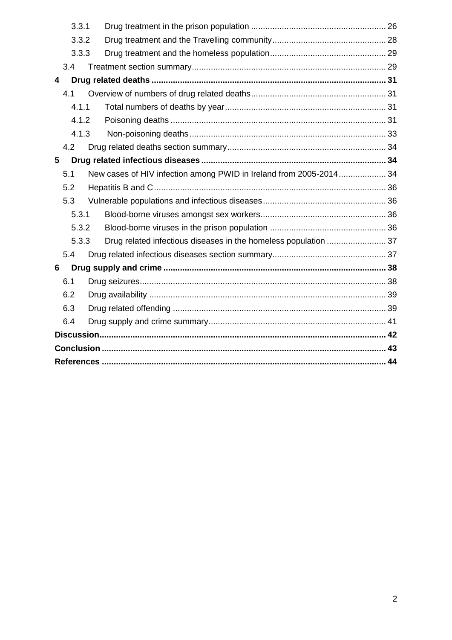|   | 3.3.1 |                                                                    |  |
|---|-------|--------------------------------------------------------------------|--|
|   | 3.3.2 |                                                                    |  |
|   | 3.3.3 |                                                                    |  |
|   | 3.4   |                                                                    |  |
| 4 |       |                                                                    |  |
|   | 4.1   |                                                                    |  |
|   | 4.1.1 |                                                                    |  |
|   | 4.1.2 |                                                                    |  |
|   | 4.1.3 |                                                                    |  |
|   | 4.2   |                                                                    |  |
| 5 |       |                                                                    |  |
|   | 5.1   | New cases of HIV infection among PWID in Ireland from 2005-2014 34 |  |
|   | 5.2   |                                                                    |  |
|   | 5.3   |                                                                    |  |
|   | 5.3.1 |                                                                    |  |
|   | 5.3.2 |                                                                    |  |
|   | 5.3.3 |                                                                    |  |
|   | 5.4   |                                                                    |  |
| 6 |       |                                                                    |  |
|   | 6.1   |                                                                    |  |
|   | 6.2   |                                                                    |  |
|   | 6.3   |                                                                    |  |
|   | 6.4   |                                                                    |  |
|   |       |                                                                    |  |
|   |       |                                                                    |  |
|   |       |                                                                    |  |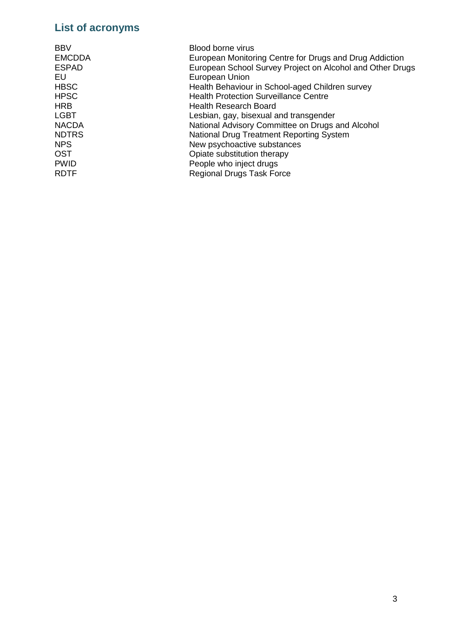# <span id="page-3-0"></span>**List of acronyms**

| <b>BBV</b>    | Blood borne virus                                         |
|---------------|-----------------------------------------------------------|
| <b>EMCDDA</b> | European Monitoring Centre for Drugs and Drug Addiction   |
| <b>ESPAD</b>  | European School Survey Project on Alcohol and Other Drugs |
| EU            | European Union                                            |
| <b>HBSC</b>   | Health Behaviour in School-aged Children survey           |
| <b>HPSC</b>   | <b>Health Protection Surveillance Centre</b>              |
| <b>HRB</b>    | Health Research Board                                     |
| LGBT          | Lesbian, gay, bisexual and transgender                    |
| <b>NACDA</b>  | National Advisory Committee on Drugs and Alcohol          |
| <b>NDTRS</b>  | <b>National Drug Treatment Reporting System</b>           |
| <b>NPS</b>    | New psychoactive substances                               |
| <b>OST</b>    | Opiate substitution therapy                               |
| <b>PWID</b>   | People who inject drugs                                   |
| <b>RDTF</b>   | <b>Regional Drugs Task Force</b>                          |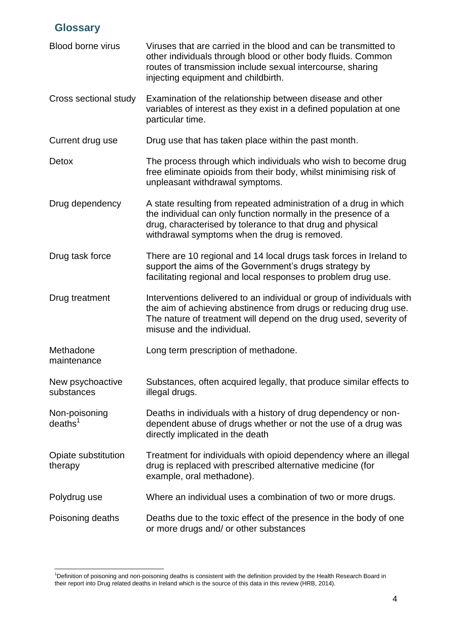### <span id="page-4-0"></span>**Glossary**

-

| <b>Blood borne virus</b>             | Viruses that are carried in the blood and can be transmitted to<br>other individuals through blood or other body fluids. Common<br>routes of transmission include sexual intercourse, sharing<br>injecting equipment and childbirth.               |
|--------------------------------------|----------------------------------------------------------------------------------------------------------------------------------------------------------------------------------------------------------------------------------------------------|
| Cross sectional study                | Examination of the relationship between disease and other<br>variables of interest as they exist in a defined population at one<br>particular time.                                                                                                |
| Current drug use                     | Drug use that has taken place within the past month.                                                                                                                                                                                               |
| Detox                                | The process through which individuals who wish to become drug<br>free eliminate opioids from their body, whilst minimising risk of<br>unpleasant withdrawal symptoms.                                                                              |
| Drug dependency                      | A state resulting from repeated administration of a drug in which<br>the individual can only function normally in the presence of a<br>drug, characterised by tolerance to that drug and physical<br>withdrawal symptoms when the drug is removed. |
| Drug task force                      | There are 10 regional and 14 local drugs task forces in Ireland to<br>support the aims of the Government's drugs strategy by<br>facilitating regional and local responses to problem drug use.                                                     |
| Drug treatment                       | Interventions delivered to an individual or group of individuals with<br>the aim of achieving abstinence from drugs or reducing drug use.<br>The nature of treatment will depend on the drug used, severity of<br>misuse and the individual.       |
| Methadone<br>maintenance             | Long term prescription of methadone.                                                                                                                                                                                                               |
| New psychoactive<br>substances       | Substances, often acquired legally, that produce similar effects to<br>illegal drugs.                                                                                                                                                              |
| Non-poisoning<br>deaths <sup>1</sup> | Deaths in individuals with a history of drug dependency or non-<br>dependent abuse of drugs whether or not the use of a drug was<br>directly implicated in the death                                                                               |
| Opiate substitution<br>therapy       | Treatment for individuals with opioid dependency where an illegal<br>drug is replaced with prescribed alternative medicine (for<br>example, oral methadone).                                                                                       |
| Polydrug use                         | Where an individual uses a combination of two or more drugs.                                                                                                                                                                                       |
| Poisoning deaths                     | Deaths due to the toxic effect of the presence in the body of one<br>or more drugs and/ or other substances                                                                                                                                        |

<sup>&</sup>lt;sup>1</sup>Definition of poisoning and non-poisoning deaths is consistent with the definition provided by the Health Research Board in their report into Drug related deaths in Ireland which is the source of this data in this review (HRB, 2014).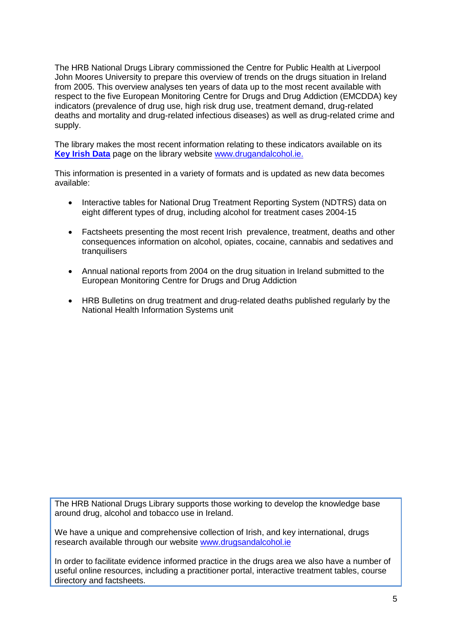The HRB National Drugs Library commissioned the Centre for Public Health at Liverpool John Moores University to prepare this overview of trends on the drugs situation in Ireland from 2005. This overview analyses ten years of data up to the most recent available with respect to the five European Monitoring Centre for Drugs and Drug Addiction (EMCDDA) key indicators (prevalence of drug use, high risk drug use, treatment demand, drug-related deaths and mortality and drug-related infectious diseases) as well as drug-related crime and supply.

The library makes the most recent information relating to these indicators available on its **[Key Irish Data](http://www.drugsandalcohol.ie/key-irish-data/)** page on the library website [www.drugandalcohol.ie.](http://www.drugandalcohol.ie/)

This information is presented in a variety of formats and is updated as new data becomes available:

- Interactive tables for National Drug Treatment Reporting System (NDTRS) data on eight different types of drug, including alcohol for treatment cases 2004-15
- Factsheets presenting the most recent Irish prevalence, treatment, deaths and other consequences information on alcohol, opiates, cocaine, cannabis and sedatives and tranquilisers
- Annual national reports from 2004 on the drug situation in Ireland submitted to the European Monitoring Centre for Drugs and Drug Addiction
- HRB Bulletins on drug treatment and drug-related deaths published regularly by the National Health Information Systems unit

The HRB National Drugs Library supports those working to develop the knowledge base around drug, alcohol and tobacco use in Ireland.

We have a unique and comprehensive collection of Irish, and key international, drugs research available through our website [www.drugsandalcohol.ie](http://www.drugsandalcohol.ie/)

In order to facilitate evidence informed practice in the drugs area we also have a number of useful online resources, including a practitioner portal, interactive treatment tables, course directory and factsheets.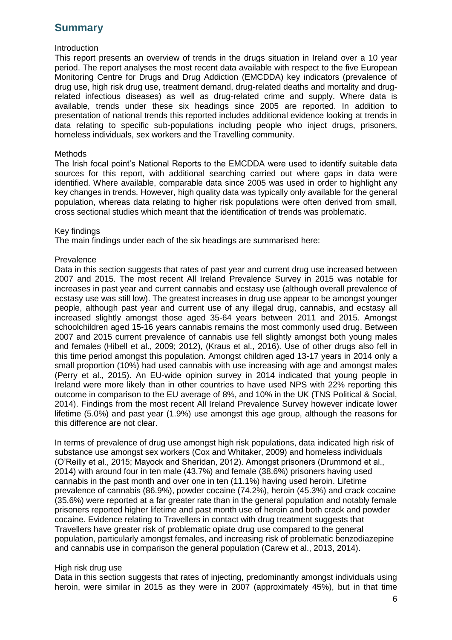## <span id="page-6-0"></span>**Summary**

#### Introduction

This report presents an overview of trends in the drugs situation in Ireland over a 10 year period. The report analyses the most recent data available with respect to the five European Monitoring Centre for Drugs and Drug Addiction (EMCDDA) key indicators (prevalence of drug use, high risk drug use, treatment demand, drug-related deaths and mortality and drugrelated infectious diseases) as well as drug-related crime and supply. Where data is available, trends under these six headings since 2005 are reported. In addition to presentation of national trends this reported includes additional evidence looking at trends in data relating to specific sub-populations including people who inject drugs, prisoners, homeless individuals, sex workers and the Travelling community.

#### Methods

The Irish focal point's National Reports to the EMCDDA were used to identify suitable data sources for this report, with additional searching carried out where gaps in data were identified. Where available, comparable data since 2005 was used in order to highlight any key changes in trends. However, high quality data was typically only available for the general population, whereas data relating to higher risk populations were often derived from small, cross sectional studies which meant that the identification of trends was problematic.

#### Key findings

The main findings under each of the six headings are summarised here:

#### Prevalence

Data in this section suggests that rates of past year and current drug use increased between 2007 and 2015. The most recent All Ireland Prevalence Survey in 2015 was notable for increases in past year and current cannabis and ecstasy use (although overall prevalence of ecstasy use was still low). The greatest increases in drug use appear to be amongst younger people, although past year and current use of any illegal drug, cannabis, and ecstasy all increased slightly amongst those aged 35-64 years between 2011 and 2015. Amongst schoolchildren aged 15-16 years cannabis remains the most commonly used drug. Between 2007 and 2015 current prevalence of cannabis use fell slightly amongst both young males and females (Hibell et al., 2009; 2012), (Kraus et al., 2016). Use of other drugs also fell in this time period amongst this population. Amongst children aged 13-17 years in 2014 only a small proportion (10%) had used cannabis with use increasing with age and amongst males (Perry et al., 2015). An EU-wide opinion survey in 2014 indicated that young people in Ireland were more likely than in other countries to have used NPS with 22% reporting this outcome in comparison to the EU average of 8%, and 10% in the UK (TNS Political & Social, 2014). Findings from the most recent All Ireland Prevalence Survey however indicate lower lifetime (5.0%) and past year (1.9%) use amongst this age group, although the reasons for this difference are not clear.

In terms of prevalence of drug use amongst high risk populations, data indicated high risk of substance use amongst sex workers (Cox and Whitaker, 2009) and homeless individuals (O'Reilly et al., 2015; Mayock and Sheridan, 2012). Amongst prisoners (Drummond et al., 2014) with around four in ten male (43.7%) and female (38.6%) prisoners having used cannabis in the past month and over one in ten (11.1%) having used heroin. Lifetime prevalence of cannabis (86.9%), powder cocaine (74.2%), heroin (45.3%) and crack cocaine (35.6%) were reported at a far greater rate than in the general population and notably female prisoners reported higher lifetime and past month use of heroin and both crack and powder cocaine. Evidence relating to Travellers in contact with drug treatment suggests that Travellers have greater risk of problematic opiate drug use compared to the general population, particularly amongst females, and increasing risk of problematic benzodiazepine and cannabis use in comparison the general population (Carew et al., 2013, 2014).

#### High risk drug use

Data in this section suggests that rates of injecting, predominantly amongst individuals using heroin, were similar in 2015 as they were in 2007 (approximately 45%), but in that time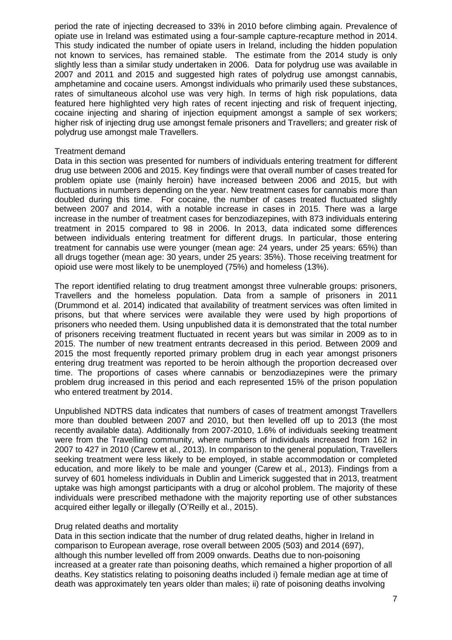period the rate of injecting decreased to 33% in 2010 before climbing again. Prevalence of opiate use in Ireland was estimated using a four-sample capture-recapture method in 2014. This study indicated the number of opiate users in Ireland, including the hidden population not known to services, has remained stable. The estimate from the 2014 study is only slightly less than a similar study undertaken in 2006. Data for polydrug use was available in 2007 and 2011 and 2015 and suggested high rates of polydrug use amongst cannabis, amphetamine and cocaine users. Amongst individuals who primarily used these substances, rates of simultaneous alcohol use was very high. In terms of high risk populations, data featured here highlighted very high rates of recent injecting and risk of frequent injecting, cocaine injecting and sharing of injection equipment amongst a sample of sex workers; higher risk of injecting drug use amongst female prisoners and Travellers; and greater risk of polydrug use amongst male Travellers.

#### Treatment demand

Data in this section was presented for numbers of individuals entering treatment for different drug use between 2006 and 2015. Key findings were that overall number of cases treated for problem opiate use (mainly heroin) have increased between 2006 and 2015, but with fluctuations in numbers depending on the year. New treatment cases for cannabis more than doubled during this time. For cocaine, the number of cases treated fluctuated slightly between 2007 and 2014, with a notable increase in cases in 2015. There was a large increase in the number of treatment cases for benzodiazepines, with 873 individuals entering treatment in 2015 compared to 98 in 2006. In 2013, data indicated some differences between individuals entering treatment for different drugs. In particular, those entering treatment for cannabis use were younger (mean age: 24 years, under 25 years: 65%) than all drugs together (mean age: 30 years, under 25 years: 35%). Those receiving treatment for opioid use were most likely to be unemployed (75%) and homeless (13%).

The report identified relating to drug treatment amongst three vulnerable groups: prisoners, Travellers and the homeless population. Data from a sample of prisoners in 2011 (Drummond et al. 2014) indicated that availability of treatment services was often limited in prisons, but that where services were available they were used by high proportions of prisoners who needed them. Using unpublished data it is demonstrated that the total number of prisoners receiving treatment fluctuated in recent years but was similar in 2009 as to in 2015. The number of new treatment entrants decreased in this period. Between 2009 and 2015 the most frequently reported primary problem drug in each year amongst prisoners entering drug treatment was reported to be heroin although the proportion decreased over time. The proportions of cases where cannabis or benzodiazepines were the primary problem drug increased in this period and each represented 15% of the prison population who entered treatment by 2014.

Unpublished NDTRS data indicates that numbers of cases of treatment amongst Travellers more than doubled between 2007 and 2010, but then levelled off up to 2013 (the most recently available data). Additionally from 2007-2010, 1.6% of individuals seeking treatment were from the Travelling community, where numbers of individuals increased from 162 in 2007 to 427 in 2010 (Carew et al., 2013). In comparison to the general population, Travellers seeking treatment were less likely to be employed, in stable accommodation or completed education, and more likely to be male and younger (Carew et al., 2013). Findings from a survey of 601 homeless individuals in Dublin and Limerick suggested that in 2013, treatment uptake was high amongst participants with a drug or alcohol problem. The majority of these individuals were prescribed methadone with the majority reporting use of other substances acquired either legally or illegally (O'Reilly et al., 2015).

#### Drug related deaths and mortality

Data in this section indicate that the number of drug related deaths, higher in Ireland in comparison to European average, rose overall between 2005 (503) and 2014 (697), although this number levelled off from 2009 onwards. Deaths due to non-poisoning increased at a greater rate than poisoning deaths, which remained a higher proportion of all deaths. Key statistics relating to poisoning deaths included i) female median age at time of death was approximately ten years older than males; ii) rate of poisoning deaths involving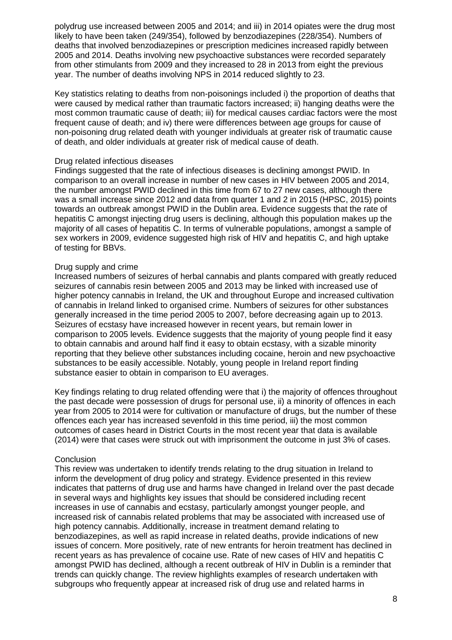polydrug use increased between 2005 and 2014; and iii) in 2014 opiates were the drug most likely to have been taken (249/354), followed by benzodiazepines (228/354). Numbers of deaths that involved benzodiazepines or prescription medicines increased rapidly between 2005 and 2014. Deaths involving new psychoactive substances were recorded separately from other stimulants from 2009 and they increased to 28 in 2013 from eight the previous year. The number of deaths involving NPS in 2014 reduced slightly to 23.

Key statistics relating to deaths from non-poisonings included i) the proportion of deaths that were caused by medical rather than traumatic factors increased; ii) hanging deaths were the most common traumatic cause of death; iii) for medical causes cardiac factors were the most frequent cause of death; and iv) there were differences between age groups for cause of non-poisoning drug related death with younger individuals at greater risk of traumatic cause of death, and older individuals at greater risk of medical cause of death.

#### Drug related infectious diseases

Findings suggested that the rate of infectious diseases is declining amongst PWID. In comparison to an overall increase in number of new cases in HIV between 2005 and 2014, the number amongst PWID declined in this time from 67 to 27 new cases, although there was a small increase since 2012 and data from quarter 1 and 2 in 2015 (HPSC, 2015) points towards an outbreak amongst PWID in the Dublin area. Evidence suggests that the rate of hepatitis C amongst injecting drug users is declining, although this population makes up the majority of all cases of hepatitis C. In terms of vulnerable populations, amongst a sample of sex workers in 2009, evidence suggested high risk of HIV and hepatitis C, and high uptake of testing for BBVs.

#### Drug supply and crime

Increased numbers of seizures of herbal cannabis and plants compared with greatly reduced seizures of cannabis resin between 2005 and 2013 may be linked with increased use of higher potency cannabis in Ireland, the UK and throughout Europe and increased cultivation of cannabis in Ireland linked to organised crime. Numbers of seizures for other substances generally increased in the time period 2005 to 2007, before decreasing again up to 2013. Seizures of ecstasy have increased however in recent years, but remain lower in comparison to 2005 levels. Evidence suggests that the majority of young people find it easy to obtain cannabis and around half find it easy to obtain ecstasy, with a sizable minority reporting that they believe other substances including cocaine, heroin and new psychoactive substances to be easily accessible. Notably, young people in Ireland report finding substance easier to obtain in comparison to EU averages.

Key findings relating to drug related offending were that i) the majority of offences throughout the past decade were possession of drugs for personal use, ii) a minority of offences in each year from 2005 to 2014 were for cultivation or manufacture of drugs, but the number of these offences each year has increased sevenfold in this time period, iii) the most common outcomes of cases heard in District Courts in the most recent year that data is available (2014) were that cases were struck out with imprisonment the outcome in just 3% of cases.

#### **Conclusion**

This review was undertaken to identify trends relating to the drug situation in Ireland to inform the development of drug policy and strategy. Evidence presented in this review indicates that patterns of drug use and harms have changed in Ireland over the past decade in several ways and highlights key issues that should be considered including recent increases in use of cannabis and ecstasy, particularly amongst younger people, and increased risk of cannabis related problems that may be associated with increased use of high potency cannabis. Additionally, increase in treatment demand relating to benzodiazepines, as well as rapid increase in related deaths, provide indications of new issues of concern. More positively, rate of new entrants for heroin treatment has declined in recent years as has prevalence of cocaine use. Rate of new cases of HIV and hepatitis C amongst PWID has declined, although a recent outbreak of HIV in Dublin is a reminder that trends can quickly change. The review highlights examples of research undertaken with subgroups who frequently appear at increased risk of drug use and related harms in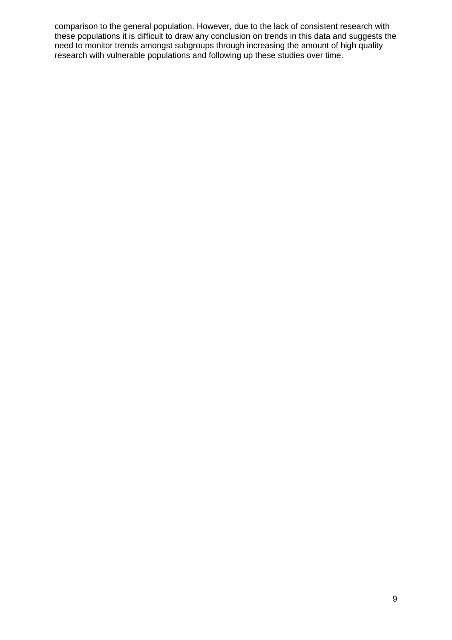comparison to the general population. However, due to the lack of consistent research with these populations it is difficult to draw any conclusion on trends in this data and suggests the need to monitor trends amongst subgroups through increasing the amount of high quality research with vulnerable populations and following up these studies over time.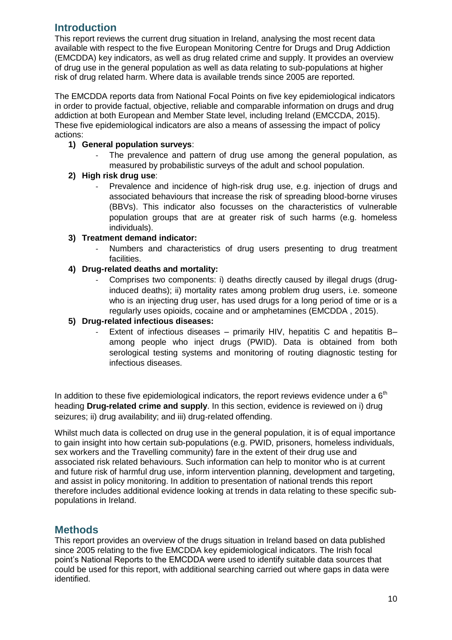### <span id="page-10-0"></span>**Introduction**

This report reviews the current drug situation in Ireland, analysing the most recent data available with respect to the five European Monitoring Centre for Drugs and Drug Addiction (EMCDDA) key indicators, as well as drug related crime and supply. It provides an overview of drug use in the general population as well as data relating to sub-populations at higher risk of drug related harm. Where data is available trends since 2005 are reported.

The EMCDDA reports data from National Focal Points on five key epidemiological indicators in order to provide factual, objective, reliable and comparable information on drugs and drug addiction at both European and Member State level, including Ireland (EMCCDA, 2015). These five epidemiological indicators are also a means of assessing the impact of policy actions:

#### **1) General population surveys**:

The prevalence and pattern of drug use among the general population, as measured by probabilistic surveys of the adult and school population.

#### **2) High risk drug use**:

Prevalence and incidence of high-risk drug use, e.g. injection of drugs and associated behaviours that increase the risk of spreading blood-borne viruses (BBVs). This indicator also focusses on the characteristics of vulnerable population groups that are at greater risk of such harms (e.g. homeless individuals).

#### **3) Treatment demand indicator:**

Numbers and characteristics of drug users presenting to drug treatment facilities.

#### **4) Drug-related deaths and mortality:**

- Comprises two components: i) deaths directly caused by illegal drugs (druginduced deaths); ii) mortality rates among problem drug users, i.e. someone who is an injecting drug user, has used drugs for a long period of time or is a regularly uses opioids, cocaine and or amphetamines (EMCDDA , 2015).

#### **5) Drug-related infectious diseases:**

Extent of infectious diseases – primarily HIV, hepatitis C and hepatitis B– among people who inject drugs (PWID). Data is obtained from both serological testing systems and monitoring of routing diagnostic testing for infectious diseases.

In addition to these five epidemiological indicators, the report reviews evidence under a  $6<sup>th</sup>$ heading **Drug-related crime and supply**. In this section, evidence is reviewed on i) drug seizures; ii) drug availability; and iii) drug-related offending.

Whilst much data is collected on drug use in the general population, it is of equal importance to gain insight into how certain sub-populations (e.g. PWID, prisoners, homeless individuals, sex workers and the Travelling community) fare in the extent of their drug use and associated risk related behaviours. Such information can help to monitor who is at current and future risk of harmful drug use, inform intervention planning, development and targeting, and assist in policy monitoring. In addition to presentation of national trends this report therefore includes additional evidence looking at trends in data relating to these specific subpopulations in Ireland.

### <span id="page-10-1"></span>**Methods**

This report provides an overview of the drugs situation in Ireland based on data published since 2005 relating to the five EMCDDA key epidemiological indicators. The Irish focal point's National Reports to the EMCDDA were used to identify suitable data sources that could be used for this report, with additional searching carried out where gaps in data were identified.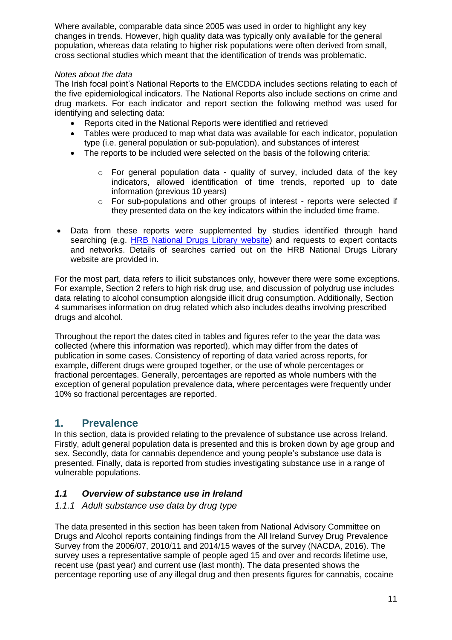Where available, comparable data since 2005 was used in order to highlight any key changes in trends. However, high quality data was typically only available for the general population, whereas data relating to higher risk populations were often derived from small, cross sectional studies which meant that the identification of trends was problematic.

#### *Notes about the data*

The Irish focal point's National Reports to the EMCDDA includes sections relating to each of the five epidemiological indicators. The National Reports also include sections on crime and drug markets. For each indicator and report section the following method was used for identifying and selecting data:

- Reports cited in the National Reports were identified and retrieved
- Tables were produced to map what data was available for each indicator, population type (i.e. general population or sub-population), and substances of interest
- The reports to be included were selected on the basis of the following criteria:
	- $\circ$  For general population data quality of survey, included data of the key indicators, allowed identification of time trends, reported up to date information (previous 10 years)
	- o For sub-populations and other groups of interest reports were selected if they presented data on the key indicators within the included time frame.
- Data from these reports were supplemented by studies identified through hand searching (e.g. [HRB National Drugs Library website\)](http://www.drugsandalcohol.ie/) and requests to expert contacts and networks. Details of searches carried out on the HRB National Drugs Library website are provided in.

For the most part, data refers to illicit substances only, however there were some exceptions. For example, Section 2 refers to high risk drug use, and discussion of polydrug use includes data relating to alcohol consumption alongside illicit drug consumption. Additionally, Section 4 summarises information on drug related which also includes deaths involving prescribed drugs and alcohol.

Throughout the report the dates cited in tables and figures refer to the year the data was collected (where this information was reported), which may differ from the dates of publication in some cases. Consistency of reporting of data varied across reports, for example, different drugs were grouped together, or the use of whole percentages or fractional percentages. Generally, percentages are reported as whole numbers with the exception of general population prevalence data, where percentages were frequently under 10% so fractional percentages are reported.

### <span id="page-11-0"></span>**1. Prevalence**

In this section, data is provided relating to the prevalence of substance use across Ireland. Firstly, adult general population data is presented and this is broken down by age group and sex. Secondly, data for cannabis dependence and young people's substance use data is presented. Finally, data is reported from studies investigating substance use in a range of vulnerable populations.

### <span id="page-11-1"></span>*1.1 Overview of substance use in Ireland*

#### <span id="page-11-2"></span>*1.1.1 Adult substance use data by drug type*

The data presented in this section has been taken from National Advisory Committee on Drugs and Alcohol reports containing findings from the All Ireland Survey Drug Prevalence Survey from the 2006/07, 2010/11 and 2014/15 waves of the survey (NACDA, 2016). The survey uses a representative sample of people aged 15 and over and records lifetime use, recent use (past year) and current use (last month). The data presented shows the percentage reporting use of any illegal drug and then presents figures for cannabis, cocaine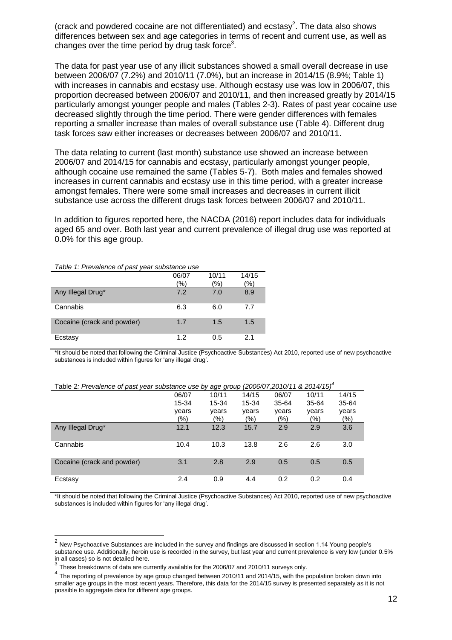(crack and powdered cocaine are not differentiated) and ecstasy<sup>2</sup>. The data also shows differences between sex and age categories in terms of recent and current use, as well as changes over the time period by drug task force<sup>3</sup>.

The data for past year use of any illicit substances showed a small overall decrease in use between 2006/07 (7.2%) and 2010/11 (7.0%), but an increase in 2014/15 (8.9%; Table 1) with increases in cannabis and ecstasy use. Although ecstasy use was low in 2006/07, this proportion decreased between 2006/07 and 2010/11, and then increased greatly by 2014/15 particularly amongst younger people and males (Tables 2-3). Rates of past year cocaine use decreased slightly through the time period. There were gender differences with females reporting a smaller increase than males of overall substance use (Table 4). Different drug task forces saw either increases or decreases between 2006/07 and 2010/11.

The data relating to current (last month) substance use showed an increase between 2006/07 and 2014/15 for cannabis and ecstasy, particularly amongst younger people, although cocaine use remained the same (Tables 5-7). Both males and females showed increases in current cannabis and ecstasy use in this time period, with a greater increase amongst females. There were some small increases and decreases in current illicit substance use across the different drugs task forces between 2006/07 and 2010/11.

In addition to figures reported here, the NACDA (2016) report includes data for individuals aged 65 and over. Both last year and current prevalence of illegal drug use was reported at 0.0% for this age group.

#### *Table 1: Prevalence of past year substance use*

 $\overline{a}$ 

|                            | 06/07 | 10/11 | 14/15 |
|----------------------------|-------|-------|-------|
|                            | '%)   | '%)   | (%    |
| Any Illegal Drug*          | 7.2   | 7.0   | 8.9   |
| Cannabis                   | 6.3   | 6.0   | 7.7   |
| Cocaine (crack and powder) | 1.7   | 1.5   | 1.5   |
| Ecstasy                    | 1.2   | 0.5   | 2.1   |

\*It should be noted that following the Criminal Justice (Psychoactive Substances) Act 2010, reported use of new psychoactive substances is included within figures for 'any illegal drug'.

| $1000$ $2.1$ Tovaloneo of page year cabolance ace by ago group (2000/01,2010/11 $\alpha$ 2011/10/ |       |       |       |       |       |        |  |
|---------------------------------------------------------------------------------------------------|-------|-------|-------|-------|-------|--------|--|
|                                                                                                   | 06/07 | 10/11 | 14/15 | 06/07 | 10/11 | 14/15  |  |
|                                                                                                   | 15-34 | 15-34 | 15-34 | 35-64 | 35-64 | 35-64  |  |
|                                                                                                   | years | years | years | years | years | years  |  |
|                                                                                                   | (%)   | (%)   | (%)   | (%)   | (%)   | $(\%)$ |  |
| Any Illegal Drug*                                                                                 | 12.1  | 12.3  | 15.7  | 2.9   | 2.9   | 3.6    |  |
| Cannabis                                                                                          | 10.4  | 10.3  | 13.8  | 2.6   | 2.6   | 3.0    |  |
| Cocaine (crack and powder)                                                                        | 3.1   | 2.8   | 2.9   | 0.5   | 0.5   | 0.5    |  |
| Ecstasy                                                                                           | 2.4   | 0.9   | 4.4   | 0.2   | 0.2   | 0.4    |  |

Table 2*: Prevalence of past year substance use by age group (2006/07,2010/11 & 2014/15) 4*

\*It should be noted that following the Criminal Justice (Psychoactive Substances) Act 2010, reported use of new psychoactive substances is included within figures for 'any illegal drug'.

 $2$  New Psychoactive Substances are included in the survey and findings are discussed in section 1.14 Young people's substance use. Additionally, heroin use is recorded in the survey, but last year and current prevalence is very low (under 0.5% in all cases) so is not detailed here.

 $^3$  These breakdowns of data are currently available for the 2006/07 and 2010/11 surveys only.

<sup>&</sup>lt;sup>4</sup> The reporting of prevalence by age group changed between 2010/11 and 2014/15, with the population broken down into smaller age groups in the most recent years. Therefore, this data for the 2014/15 survey is presented separately as it is not possible to aggregate data for different age groups.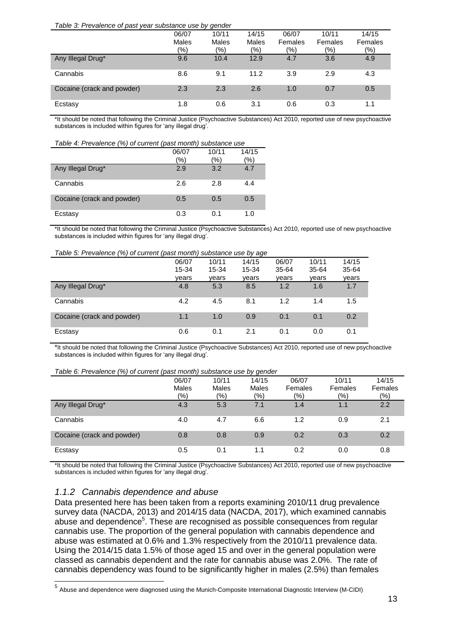| Table 3: Prevalence of past year substance use by gender |  |  |
|----------------------------------------------------------|--|--|
|                                                          |  |  |

|                            | 06/07        | 10/11         | 14/15 | 06/07   | 10/11   | 14/15   |
|----------------------------|--------------|---------------|-------|---------|---------|---------|
|                            | <b>Males</b> | Males         | Males | Females | Females | Females |
|                            | (%)          | $\frac{1}{2}$ | (%)   | $(\% )$ | $(\%)$  | (9/6)   |
| Any Illegal Drug*          | 9.6          | 10.4          | 12.9  | 4.7     | 3.6     | 4.9     |
| Cannabis                   | 8.6          | 9.1           | 11.2  | 3.9     | 2.9     | 4.3     |
| Cocaine (crack and powder) | 2.3          | 2.3           | 2.6   | 1.0     | 0.7     | 0.5     |
| Ecstasy                    | 1.8          | 0.6           | 3.1   | 0.6     | 0.3     | 1.1     |

\*It should be noted that following the Criminal Justice (Psychoactive Substances) Act 2010, reported use of new psychoactive substances is included within figures for 'any illegal drug'.

| Table 4: Prevalence (%) of current (past month) substance use |       |       |               |  |  |
|---------------------------------------------------------------|-------|-------|---------------|--|--|
|                                                               | 06/07 | 10/11 | 14/15         |  |  |
|                                                               | '%)   | (%)   | $\frac{1}{2}$ |  |  |
| Any Illegal Drug*                                             | 2.9   | 3.2   | 4.7           |  |  |
| Cannabis                                                      | 2.6   | 2.8   | 4.4           |  |  |
| Cocaine (crack and powder)                                    | 0.5   | 0.5   | 0.5           |  |  |
| Ecstasy                                                       | 0.3   | 0.1   | 1.0           |  |  |

\*It should be noted that following the Criminal Justice (Psychoactive Substances) Act 2010, reported use of new psychoactive substances is included within figures for 'any illegal drug'.

#### *Table 5: Prevalence (%) of current (past month) substance use by age*

|                            | (20, 0.00)<br>-----------<br>$-0.00$ $-0.90$ |       |       |       |       |       |
|----------------------------|----------------------------------------------|-------|-------|-------|-------|-------|
|                            | 06/07                                        | 10/11 | 14/15 | 06/07 | 10/11 | 14/15 |
|                            | 15-34                                        | 15-34 | 15-34 | 35-64 | 35-64 | 35-64 |
|                            | vears                                        | vears | years | vears | years | years |
| Any Illegal Drug*          | 4.8                                          | 5.3   | 8.5   | 1.2   | 1.6   | 1.7   |
| Cannabis                   | 4.2                                          | 4.5   | 8.1   | 1.2   | 1.4   | 1.5   |
| Cocaine (crack and powder) | 1.1                                          | 1.0   | 0.9   | 0.1   | 0.1   | 0.2   |
| Ecstasy                    | 0.6                                          | 0.1   | 2.1   | 0.1   | 0.0   | 0.1   |

\*It should be noted that following the Criminal Justice (Psychoactive Substances) Act 2010, reported use of new psychoactive substances is included within figures for 'any illegal drug'.

#### *Table 6: Prevalence (%) of current (past month) substance use by gender*

|                            | 06/07<br>Males    | 10/11<br><b>Males</b> | 14/15<br><b>Males</b> | 06/07<br>Females  | 10/11<br>Females | 14/15<br>Females |
|----------------------------|-------------------|-----------------------|-----------------------|-------------------|------------------|------------------|
|                            | $\frac{(9/6)}{2}$ | $\frac{1}{2}$         | (%)                   | $\frac{(9/6)}{2}$ | (%)              | (9/0)            |
| Any Illegal Drug*          | 4.3               | 5.3                   | 7.1                   | 1.4               | 1.1              | 2.2              |
| Cannabis                   | 4.0               | 4.7                   | 6.6                   | 1.2               | 0.9              | 2.1              |
| Cocaine (crack and powder) | 0.8               | 0.8                   | 0.9                   | 0.2               | 0.3              | 0.2              |
| Ecstasy                    | 0.5               | 0.1                   | 1.1                   | 0.2               | 0.0              | 0.8              |

\*It should be noted that following the Criminal Justice (Psychoactive Substances) Act 2010, reported use of new psychoactive substances is included within figures for 'any illegal drug'.

#### <span id="page-13-0"></span>*1.1.2 Cannabis dependence and abuse*

Data presented here has been taken from a reports examining 2010/11 drug prevalence survey data (NACDA, 2013) and 2014/15 data (NACDA, 2017), which examined cannabis abuse and dependence<sup>5</sup>. These are recognised as possible consequences from regular cannabis use. The proportion of the general population with cannabis dependence and abuse was estimated at 0.6% and 1.3% respectively from the 2010/11 prevalence data. Using the 2014/15 data 1.5% of those aged 15 and over in the general population were classed as cannabis dependent and the rate for cannabis abuse was 2.0%. The rate of cannabis dependency was found to be significantly higher in males (2.5%) than females

 5 Abuse and dependence were diagnosed using the Munich-Composite International Diagnostic Interview (M-CIDI)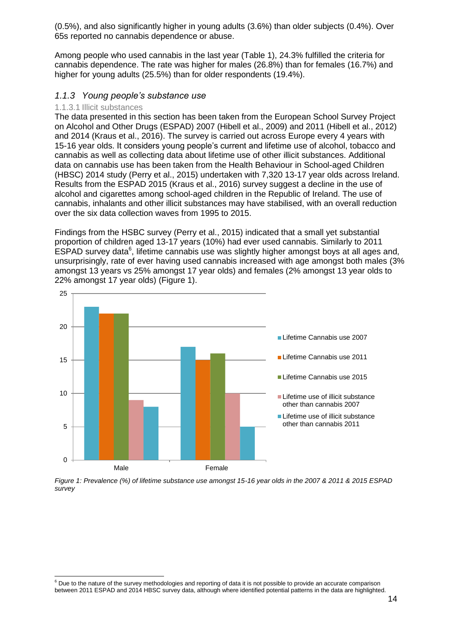(0.5%), and also significantly higher in young adults (3.6%) than older subjects (0.4%). Over 65s reported no cannabis dependence or abuse.

Among people who used cannabis in the last year (Table 1), 24.3% fulfilled the criteria for cannabis dependence. The rate was higher for males (26.8%) than for females (16.7%) and higher for young adults (25.5%) than for older respondents (19.4%).

#### <span id="page-14-0"></span>*1.1.3 Young people's substance use*

#### <span id="page-14-1"></span>1.1.3.1 Illicit substances

-

The data presented in this section has been taken from the European School Survey Project on Alcohol and Other Drugs (ESPAD) 2007 (Hibell et al., 2009) and 2011 (Hibell et al., 2012) and 2014 (Kraus et al., 2016). The survey is carried out across Europe every 4 years with 15-16 year olds. It considers young people's current and lifetime use of alcohol, tobacco and cannabis as well as collecting data about lifetime use of other illicit substances. Additional data on cannabis use has been taken from the Health Behaviour in School-aged Children (HBSC) 2014 study (Perry et al., 2015) undertaken with 7,320 13-17 year olds across Ireland. Results from the ESPAD 2015 (Kraus et al., 2016) survey suggest a decline in the use of alcohol and cigarettes among school-aged children in the Republic of Ireland. The use of cannabis, inhalants and other illicit substances may have stabilised, with an overall reduction over the six data collection waves from 1995 to 2015.

Findings from the HSBC survey (Perry et al., 2015) indicated that a small yet substantial proportion of children aged 13-17 years (10%) had ever used cannabis. Similarly to 2011 ESPAD survey data<sup>6</sup>, lifetime cannabis use was slightly higher amongst boys at all ages and, unsurprisingly, rate of ever having used cannabis increased with age amongst both males (3% amongst 13 years vs 25% amongst 17 year olds) and females (2% amongst 13 year olds to 22% amongst 17 year olds) (Figure 1).



*Figure 1: Prevalence (%) of lifetime substance use amongst 15-16 year olds in the 2007 & 2011 & 2015 ESPAD survey*

 $6$  Due to the nature of the survey methodologies and reporting of data it is not possible to provide an accurate comparison between 2011 ESPAD and 2014 HBSC survey data, although where identified potential patterns in the data are highlighted.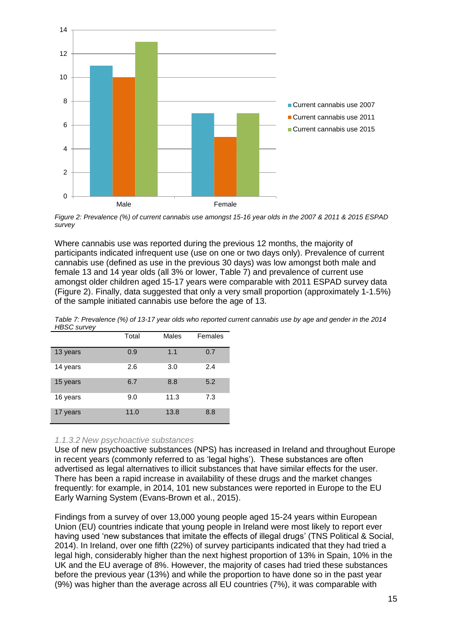

*Figure 2: Prevalence (%) of current cannabis use amongst 15-16 year olds in the 2007 & 2011 & 2015 ESPAD survey*

Where cannabis use was reported during the previous 12 months, the majority of participants indicated infrequent use (use on one or two days only). Prevalence of current cannabis use (defined as use in the previous 30 days) was low amongst both male and female 13 and 14 year olds (all 3% or lower, Table 7) and prevalence of current use amongst older children aged 15-17 years were comparable with 2011 ESPAD survey data (Figure 2). Finally, data suggested that only a very small proportion (approximately 1-1.5%) of the sample initiated cannabis use before the age of 13.

|          | Total | <b>Males</b> | Females |
|----------|-------|--------------|---------|
| 13 years | 0.9   | 1.1          | 0.7     |
| 14 years | 2.6   | 3.0          | 2.4     |
| 15 years | 6.7   | 8.8          | 5.2     |
| 16 years | 9.0   | 11.3         | 7.3     |
| 17 years | 11.0  | 13.8         | 8.8     |

*Table 7: Prevalence (%) of 13-17 year olds who reported current cannabis use by age and gender in the 2014 HBSC survey*

#### <span id="page-15-0"></span>*1.1.3.2 New psychoactive substances*

Use of new psychoactive substances (NPS) has increased in Ireland and throughout Europe in recent years (commonly referred to as 'legal highs'). These substances are often advertised as legal alternatives to illicit substances that have similar effects for the user. There has been a rapid increase in availability of these drugs and the market changes frequently: for example, in 2014, 101 new substances were reported in Europe to the EU Early Warning System (Evans-Brown et al., 2015).

Findings from a survey of over 13,000 young people aged 15-24 years within European Union (EU) countries indicate that young people in Ireland were most likely to report ever having used 'new substances that imitate the effects of illegal drugs' (TNS Political & Social, 2014). In Ireland, over one fifth (22%) of survey participants indicated that they had tried a legal high, considerably higher than the next highest proportion of 13% in Spain, 10% in the UK and the EU average of 8%. However, the majority of cases had tried these substances before the previous year (13%) and while the proportion to have done so in the past year (9%) was higher than the average across all EU countries (7%), it was comparable with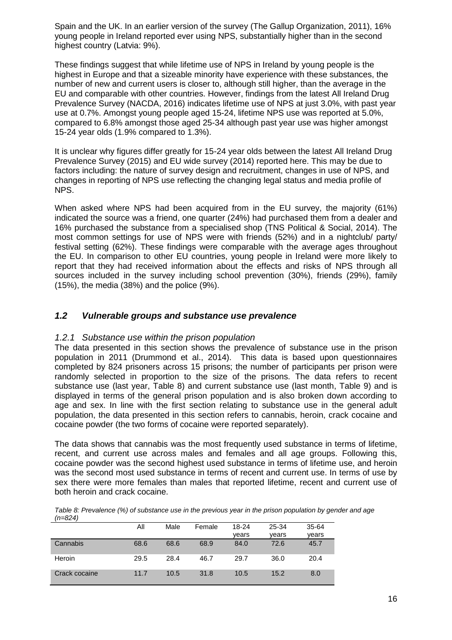Spain and the UK. In an earlier version of the survey (The Gallup Organization, 2011), 16% young people in Ireland reported ever using NPS, substantially higher than in the second highest country (Latvia: 9%).

These findings suggest that while lifetime use of NPS in Ireland by young people is the highest in Europe and that a sizeable minority have experience with these substances, the number of new and current users is closer to, although still higher, than the average in the EU and comparable with other countries. However, findings from the latest All Ireland Drug Prevalence Survey (NACDA, 2016) indicates lifetime use of NPS at just 3.0%, with past year use at 0.7%. Amongst young people aged 15-24, lifetime NPS use was reported at 5.0%, compared to 6.8% amongst those aged 25-34 although past year use was higher amongst 15-24 year olds (1.9% compared to 1.3%).

It is unclear why figures differ greatly for 15-24 year olds between the latest All Ireland Drug Prevalence Survey (2015) and EU wide survey (2014) reported here. This may be due to factors including: the nature of survey design and recruitment, changes in use of NPS, and changes in reporting of NPS use reflecting the changing legal status and media profile of NPS.

When asked where NPS had been acquired from in the EU survey, the majority (61%) indicated the source was a friend, one quarter (24%) had purchased them from a dealer and 16% purchased the substance from a specialised shop (TNS Political & Social, 2014). The most common settings for use of NPS were with friends (52%) and in a nightclub/ party/ festival setting (62%). These findings were comparable with the average ages throughout the EU. In comparison to other EU countries, young people in Ireland were more likely to report that they had received information about the effects and risks of NPS through all sources included in the survey including school prevention (30%), friends (29%), family (15%), the media (38%) and the police (9%).

#### <span id="page-16-0"></span>*1.2 Vulnerable groups and substance use prevalence*

#### <span id="page-16-1"></span>*1.2.1 Substance use within the prison population*

The data presented in this section shows the prevalence of substance use in the prison population in 2011 (Drummond et al., 2014). This data is based upon questionnaires completed by 824 prisoners across 15 prisons; the number of participants per prison were randomly selected in proportion to the size of the prisons. The data refers to recent substance use (last year, Table 8) and current substance use (last month, Table 9) and is displayed in terms of the general prison population and is also broken down according to age and sex. In line with the first section relating to substance use in the general adult population, the data presented in this section refers to cannabis, heroin, crack cocaine and cocaine powder (the two forms of cocaine were reported separately).

The data shows that cannabis was the most frequently used substance in terms of lifetime, recent, and current use across males and females and all age groups. Following this, cocaine powder was the second highest used substance in terms of lifetime use, and heroin was the second most used substance in terms of recent and current use. In terms of use by sex there were more females than males that reported lifetime, recent and current use of both heroin and crack cocaine.

| (11=0Z4)      |      |      |        |       |       |       |
|---------------|------|------|--------|-------|-------|-------|
|               | Αll  | Male | Female | 18-24 | 25-34 | 35-64 |
|               |      |      |        | vears | vears | years |
| Cannabis      | 68.6 | 68.6 | 68.9   | 84.0  | 72.6  | 45.7  |
| Heroin        | 29.5 | 28.4 | 46.7   | 29.7  | 36.0  | 20.4  |
| Crack cocaine | 11.7 | 10.5 | 31.8   | 10.5  | 15.2  | 8.0   |

*Table 8: Prevalence (%) of substance use in the previous year in the prison population by gender and age (n=824)*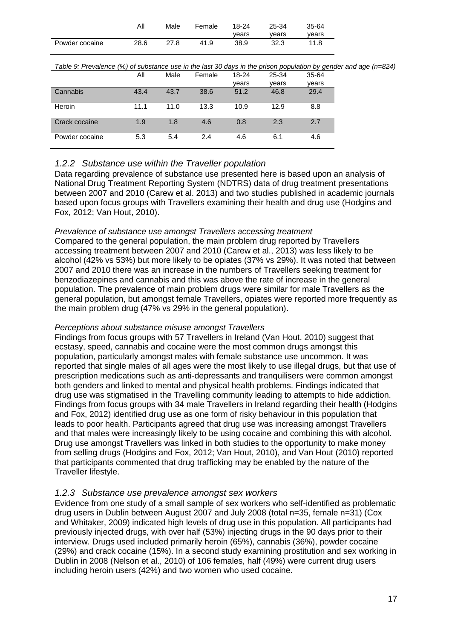|                | Αll  | Male | Female | 18-24 | 25-34 | 35-64 |
|----------------|------|------|--------|-------|-------|-------|
|                |      |      |        | vears | vears | vears |
| Powder cocaine | 28.6 | 27.8 | 41.9   | 38.9  | 32.3  | 11.8  |

*Table 9: Prevalence (%) of substance use in the last 30 days in the prison population by gender and age (n=824)*

|                | All  | Male | Female | 18-24 | 25-34 | 35-64 |
|----------------|------|------|--------|-------|-------|-------|
|                |      |      |        | vears | vears | vears |
| Cannabis       | 43.4 | 43.7 | 38.6   | 51.2  | 46.8  | 29.4  |
| Heroin         | 11.1 | 11.0 | 13.3   | 10.9  | 12.9  | 8.8   |
| Crack cocaine  | 1.9  | 1.8  | 4.6    | 0.8   | 2.3   | 2.7   |
| Powder cocaine | 5.3  | 5.4  | 2.4    | 4.6   | 6.1   | 4.6   |

#### <span id="page-17-0"></span>*1.2.2 Substance use within the Traveller population*

Data regarding prevalence of substance use presented here is based upon an analysis of National Drug Treatment Reporting System (NDTRS) data of drug treatment presentations between 2007 and 2010 (Carew et al. 2013) and two studies published in academic journals based upon focus groups with Travellers examining their health and drug use (Hodgins and Fox, 2012; Van Hout, 2010).

#### *Prevalence of substance use amongst Travellers accessing treatment*

Compared to the general population, the main problem drug reported by Travellers accessing treatment between 2007 and 2010 (Carew et al., 2013) was less likely to be alcohol (42% vs 53%) but more likely to be opiates (37% vs 29%). It was noted that between 2007 and 2010 there was an increase in the numbers of Travellers seeking treatment for benzodiazepines and cannabis and this was above the rate of increase in the general population. The prevalence of main problem drugs were similar for male Travellers as the general population, but amongst female Travellers, opiates were reported more frequently as the main problem drug (47% vs 29% in the general population).

#### *Perceptions about substance misuse amongst Travellers*

Findings from focus groups with 57 Travellers in Ireland (Van Hout, 2010) suggest that ecstasy, speed, cannabis and cocaine were the most common drugs amongst this population, particularly amongst males with female substance use uncommon. It was reported that single males of all ages were the most likely to use illegal drugs, but that use of prescription medications such as anti-depressants and tranquilisers were common amongst both genders and linked to mental and physical health problems. Findings indicated that drug use was stigmatised in the Travelling community leading to attempts to hide addiction. Findings from focus groups with 34 male Travellers in Ireland regarding their health (Hodgins and Fox, 2012) identified drug use as one form of risky behaviour in this population that leads to poor health. Participants agreed that drug use was increasing amongst Travellers and that males were increasingly likely to be using cocaine and combining this with alcohol. Drug use amongst Travellers was linked in both studies to the opportunity to make money from selling drugs (Hodgins and Fox, 2012; Van Hout, 2010), and Van Hout (2010) reported that participants commented that drug trafficking may be enabled by the nature of the Traveller lifestyle.

#### <span id="page-17-1"></span>*1.2.3 Substance use prevalence amongst sex workers*

Evidence from one study of a small sample of sex workers who self-identified as problematic drug users in Dublin between August 2007 and July 2008 (total n=35, female n=31) (Cox and Whitaker, 2009) indicated high levels of drug use in this population. All participants had previously injected drugs, with over half (53%) injecting drugs in the 90 days prior to their interview. Drugs used included primarily heroin (65%), cannabis (36%), powder cocaine (29%) and crack cocaine (15%). In a second study examining prostitution and sex working in Dublin in 2008 (Nelson et al., 2010) of 106 females, half (49%) were current drug users including heroin users (42%) and two women who used cocaine.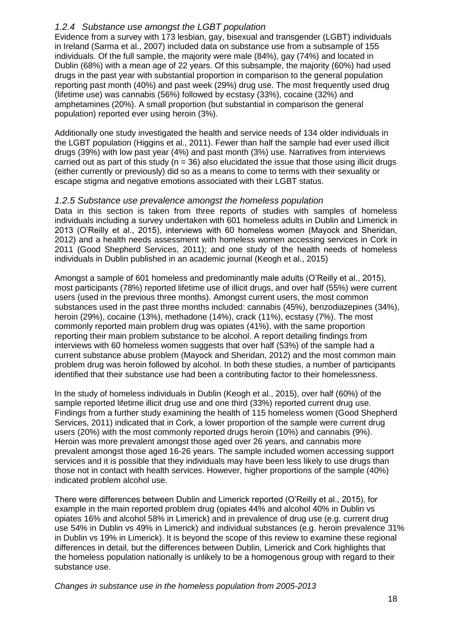#### <span id="page-18-0"></span>*1.2.4 Substance use amongst the LGBT population*

Evidence from a survey with 173 lesbian, gay, bisexual and transgender (LGBT) individuals in Ireland (Sarma et al., 2007) included data on substance use from a subsample of 155 individuals. Of the full sample, the majority were male (84%), gay (74%) and located in Dublin (68%) with a mean age of 22 years. Of this subsample, the majority (60%) had used drugs in the past year with substantial proportion in comparison to the general population reporting past month (40%) and past week (29%) drug use. The most frequently used drug (lifetime use) was cannabis (56%) followed by ecstasy (33%), cocaine (32%) and amphetamines (20%). A small proportion (but substantial in comparison the general population) reported ever using heroin (3%).

Additionally one study investigated the health and service needs of 134 older individuals in the LGBT population (Higgins et al., 2011). Fewer than half the sample had ever used illicit drugs (39%) with low past year (4%) and past month (3%) use. Narratives from interviews carried out as part of this study ( $n = 36$ ) also elucidated the issue that those using illicit drugs (either currently or previously) did so as a means to come to terms with their sexuality or escape stigma and negative emotions associated with their LGBT status.

#### <span id="page-18-1"></span>*1.2.5 Substance use prevalence amongst the homeless population*

Data in this section is taken from three reports of studies with samples of homeless individuals including a survey undertaken with 601 homeless adults in Dublin and Limerick in 2013 (O'Reilly et al., 2015), interviews with 60 homeless women (Mayock and Sheridan, 2012) and a health needs assessment with homeless women accessing services in Cork in 2011 (Good Shepherd Services, 2011); and one study of the health needs of homeless individuals in Dublin published in an academic journal (Keogh et al., 2015)

Amongst a sample of 601 homeless and predominantly male adults (O'Reilly et al., 2015), most participants (78%) reported lifetime use of illicit drugs, and over half (55%) were current users (used in the previous three months). Amongst current users, the most common substances used in the past three months included: cannabis (45%), benzodiazepines (34%), heroin (29%), cocaine (13%), methadone (14%), crack (11%), ecstasy (7%). The most commonly reported main problem drug was opiates (41%), with the same proportion reporting their main problem substance to be alcohol. A report detailing findings from interviews with 60 homeless women suggests that over half (53%) of the sample had a current substance abuse problem (Mayock and Sheridan, 2012) and the most common main problem drug was heroin followed by alcohol. In both these studies, a number of participants identified that their substance use had been a contributing factor to their homelessness.

In the study of homeless individuals in Dublin (Keogh et al., 2015), over half (60%) of the sample reported lifetime illicit drug use and one third (33%) reported current drug use. Findings from a further study examining the health of 115 homeless women (Good Shepherd Services, 2011) indicated that in Cork, a lower proportion of the sample were current drug users (20%) with the most commonly reported drugs heroin (10%) and cannabis (9%). Heroin was more prevalent amongst those aged over 26 years, and cannabis more prevalent amongst those aged 16-26 years. The sample included women accessing support services and it is possible that they individuals may have been less likely to use drugs than those not in contact with health services. However, higher proportions of the sample (40%) indicated problem alcohol use.

There were differences between Dublin and Limerick reported (O'Reilly et al., 2015), for example in the main reported problem drug (opiates 44% and alcohol 40% in Dublin vs opiates 16% and alcohol 58% in Limerick) and in prevalence of drug use (e.g. current drug use 54% in Dublin vs 49% in Limerick) and individual substances (e.g. heroin prevalence 31% in Dublin vs 19% in Limerick). It is beyond the scope of this review to examine these regional differences in detail, but the differences between Dublin, Limerick and Cork highlights that the homeless population nationally is unlikely to be a homogenous group with regard to their substance use.

*Changes in substance use in the homeless population from 2005-2013*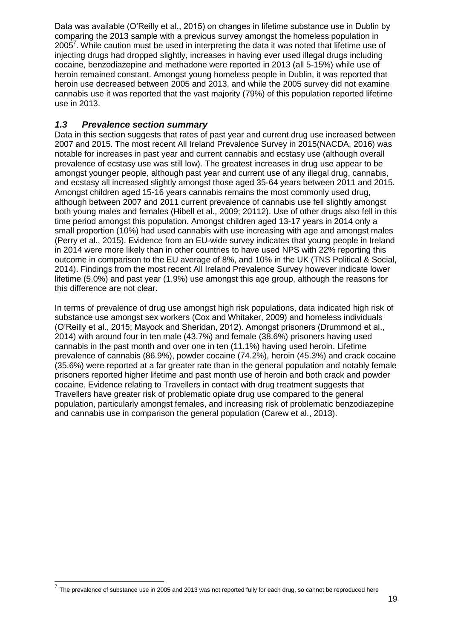Data was available (O'Reilly et al., 2015) on changes in lifetime substance use in Dublin by comparing the 2013 sample with a previous survey amongst the homeless population in 2005<sup>7</sup>. While caution must be used in interpreting the data it was noted that lifetime use of injecting drugs had dropped slightly, increases in having ever used illegal drugs including cocaine, benzodiazepine and methadone were reported in 2013 (all 5-15%) while use of heroin remained constant. Amongst young homeless people in Dublin, it was reported that heroin use decreased between 2005 and 2013, and while the 2005 survey did not examine cannabis use it was reported that the vast majority (79%) of this population reported lifetime use in 2013.

### <span id="page-19-0"></span>*1.3 Prevalence section summary*

Data in this section suggests that rates of past year and current drug use increased between 2007 and 2015. The most recent All Ireland Prevalence Survey in 2015(NACDA, 2016) was notable for increases in past year and current cannabis and ecstasy use (although overall prevalence of ecstasy use was still low). The greatest increases in drug use appear to be amongst younger people, although past year and current use of any illegal drug, cannabis, and ecstasy all increased slightly amongst those aged 35-64 years between 2011 and 2015. Amongst children aged 15-16 years cannabis remains the most commonly used drug, although between 2007 and 2011 current prevalence of cannabis use fell slightly amongst both young males and females (Hibell et al., 2009; 20112). Use of other drugs also fell in this time period amongst this population. Amongst children aged 13-17 years in 2014 only a small proportion (10%) had used cannabis with use increasing with age and amongst males (Perry et al., 2015). Evidence from an EU-wide survey indicates that young people in Ireland in 2014 were more likely than in other countries to have used NPS with 22% reporting this outcome in comparison to the EU average of 8%, and 10% in the UK (TNS Political & Social, 2014). Findings from the most recent All Ireland Prevalence Survey however indicate lower lifetime (5.0%) and past year (1.9%) use amongst this age group, although the reasons for this difference are not clear.

In terms of prevalence of drug use amongst high risk populations, data indicated high risk of substance use amongst sex workers (Cox and Whitaker, 2009) and homeless individuals (O'Reilly et al., 2015; Mayock and Sheridan, 2012). Amongst prisoners (Drummond et al., 2014) with around four in ten male (43.7%) and female (38.6%) prisoners having used cannabis in the past month and over one in ten (11.1%) having used heroin. Lifetime prevalence of cannabis (86.9%), powder cocaine (74.2%), heroin (45.3%) and crack cocaine (35.6%) were reported at a far greater rate than in the general population and notably female prisoners reported higher lifetime and past month use of heroin and both crack and powder cocaine. Evidence relating to Travellers in contact with drug treatment suggests that Travellers have greater risk of problematic opiate drug use compared to the general population, particularly amongst females, and increasing risk of problematic benzodiazepine and cannabis use in comparison the general population (Carew et al., 2013).

-

 $<sup>7</sup>$  The prevalence of substance use in 2005 and 2013 was not reported fully for each drug, so cannot be reproduced here</sup>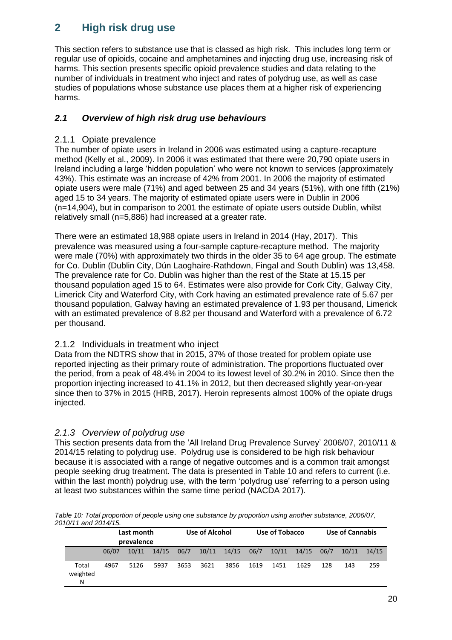# <span id="page-20-0"></span>**2 High risk drug use**

This section refers to substance use that is classed as high risk. This includes long term or regular use of opioids, cocaine and amphetamines and injecting drug use, increasing risk of harms. This section presents specific opioid prevalence studies and data relating to the number of individuals in treatment who inject and rates of polydrug use, as well as case studies of populations whose substance use places them at a higher risk of experiencing harms.

### <span id="page-20-1"></span>*2.1 Overview of high risk drug use behaviours*

#### <span id="page-20-2"></span>2.1.1 Opiate prevalence

The number of opiate users in Ireland in 2006 was estimated using a capture-recapture method (Kelly et al., 2009). In 2006 it was estimated that there were 20,790 opiate users in Ireland including a large 'hidden population' who were not known to services (approximately 43%). This estimate was an increase of 42% from 2001. In 2006 the majority of estimated opiate users were male (71%) and aged between 25 and 34 years (51%), with one fifth (21%) aged 15 to 34 years. The majority of estimated opiate users were in Dublin in 2006 (n=14,904), but in comparison to 2001 the estimate of opiate users outside Dublin, whilst relatively small (n=5,886) had increased at a greater rate.

There were an estimated 18,988 opiate users in Ireland in 2014 (Hay, 2017). This prevalence was measured using a four-sample capture-recapture method. The majority were male (70%) with approximately two thirds in the older 35 to 64 age group. The estimate for Co. Dublin (Dublin City, Dún Laoghaire-Rathdown, Fingal and South Dublin) was 13,458. The prevalence rate for Co. Dublin was higher than the rest of the State at 15.15 per thousand population aged 15 to 64. Estimates were also provide for Cork City, Galway City, Limerick City and Waterford City, with Cork having an estimated prevalence rate of 5.67 per thousand population, Galway having an estimated prevalence of 1.93 per thousand, Limerick with an estimated prevalence of 8.82 per thousand and Waterford with a prevalence of 6.72 per thousand.

#### <span id="page-20-3"></span>2.1.2 Individuals in treatment who inject

Data from the NDTRS show that in 2015, 37% of those treated for problem opiate use reported injecting as their primary route of administration. The proportions fluctuated over the period, from a peak of 48.4% in 2004 to its lowest level of 30.2% in 2010. Since then the proportion injecting increased to 41.1% in 2012, but then decreased slightly year-on-year since then to 37% in 2015 (HRB, 2017). Heroin represents almost 100% of the opiate drugs injected.

### <span id="page-20-4"></span>*2.1.3 Overview of polydrug use*

This section presents data from the 'All Ireland Drug Prevalence Survey' 2006/07, 2010/11 & 2014/15 relating to polydrug use. Polydrug use is considered to be high risk behaviour because it is associated with a range of negative outcomes and is a common trait amongst people seeking drug treatment. The data is presented in Table 10 and refers to current (i.e. within the last month) polydrug use, with the term 'polydrug use' referring to a person using at least two substances within the same time period (NACDA 2017).

*Table 10: Total proportion of people using one substance by proportion using another substance, 2006/07, 2010/11 and 2014/15.*

|                        | Last month<br>prevalence |       |       | Use of Alcohol |      |                 | Use of Tobacco |       |       | <b>Use of Cannabis</b> |       |       |
|------------------------|--------------------------|-------|-------|----------------|------|-----------------|----------------|-------|-------|------------------------|-------|-------|
|                        | 06/07                    | 10/11 | 14/15 | 06/7           |      | $10/11$ $14/15$ | 06/7           | 10/11 | 14/15 | 06/7                   | 10/11 | 14/15 |
| Total<br>weighted<br>N | 4967                     | 5126  | 5937  | 3653           | 3621 | 3856            | 1619           | 1451  | 1629  | 128                    | 143   | 259   |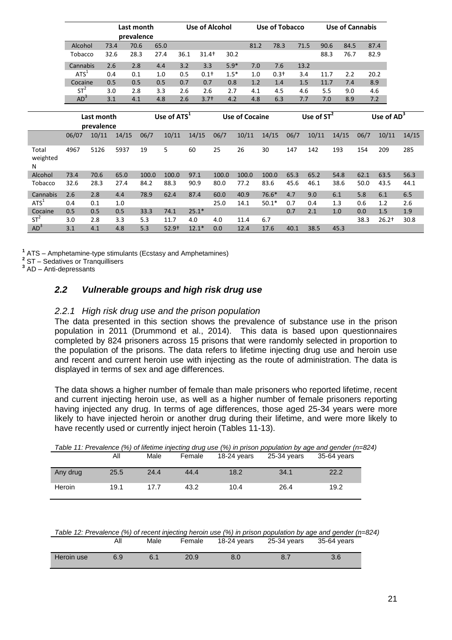|                  |                  | Last month<br>prevalence |            |       | <b>Use of Alcohol</b>   |                  |        | <b>Use of Tobacco</b> |         |      | <b>Use of Cannabis</b> |       |      |               |       |
|------------------|------------------|--------------------------|------------|-------|-------------------------|------------------|--------|-----------------------|---------|------|------------------------|-------|------|---------------|-------|
|                  |                  |                          |            |       |                         |                  |        |                       |         |      |                        |       |      |               |       |
|                  | Alcohol          |                          | 73.4       | 70.6  | 65.0                    | $31.4+$          | 30.2   | 81.2                  | 78.3    |      | 71.5<br>90.6           | 84.5  |      | 87.4          |       |
|                  | Tobacco          |                          | 32.6       | 28.3  | 36.1<br>27.4            |                  |        |                       |         |      | 88.3                   | 76.7  | 82.9 |               |       |
|                  | Cannabis         |                          | 2.6        | 2.8   | 3.2<br>4.4              | 3.3              | $5.9*$ | 7.0                   | 7.6     |      | 13.2                   |       |      |               |       |
|                  | ATS <sup>1</sup> |                          | 0.4<br>0.1 |       | 1.0<br>0.5              | 0.1 <sup>†</sup> | $1.5*$ | 1.0                   | $0.3+$  |      | 3.4<br>11.7            | 2.2   |      | 20.2          |       |
|                  | Cocaine          |                          | 0.5        | 0.5   | 0.5<br>0.7              | 0.7              | 0.8    | 1.2                   | 1.4     |      | 1.5<br>11.7            | 7.4   |      | 8.9           |       |
|                  | $ST^2$           |                          | 3.0        | 2.8   | 3.3<br>2.6              | 2.6              | 2.7    | 4.1                   | 4.5     |      | 4.6<br>5.5             | 9.0   |      | 4.6           |       |
|                  | $AD^3$           |                          | 3.1        | 4.1   | 4.8<br>2.6              | $3.7+$           | 4.2    | 4.8                   | 6.3     | 7.7  | 7.0                    | 8.9   |      | 7.2           |       |
|                  |                  | Last month               |            |       | Use of ATS <sup>1</sup> |                  |        | <b>Use of Cocaine</b> |         |      | Use of $ST^2$          |       |      | Use of $AD^3$ |       |
|                  |                  | prevalence               |            |       |                         |                  |        |                       |         |      |                        |       |      |               |       |
|                  | 06/07            | 10/11                    | 14/15      | 06/7  | 10/11                   | 14/15            | 06/7   | 10/11                 | 14/15   | 06/7 | 10/11                  | 14/15 | 06/7 | 10/11         | 14/15 |
| Total            | 4967             | 5126                     | 5937       | 19    | 5                       | 60               | 25     | 26                    | 30      | 147  | 142                    | 193   | 154  | 209           | 285   |
| weighted<br>N    |                  |                          |            |       |                         |                  |        |                       |         |      |                        |       |      |               |       |
| Alcohol          | 73.4             | 70.6                     | 65.0       | 100.0 | 100.0                   | 97.1             | 100.0  | 100.0                 | 100.0   | 65.3 | 65.2                   | 54.8  | 62.1 | 63.5          | 56.3  |
| Tobacco          | 32.6             | 28.3                     | 27.4       | 84.2  | 88.3                    | 90.9             | 80.0   | 77.2                  | 83.6    | 45.6 | 46.1                   | 38.6  | 50.0 | 43.5          | 44.1  |
| Cannabis         | 2.6              | 2.8                      | 4.4        | 78.9  | 62.4                    | 87.4             | 60.0   | 40.9                  | 76.6*   | 4.7  | 9.0                    | 6.1   | 5.8  | 6.1           | 6.5   |
| ATS <sup>1</sup> | 0.4              | 0.1                      | 1.0        |       |                         |                  | 25.0   | 14.1                  | $50.1*$ | 0.7  | 0.4                    | 1.3   | 0.6  | 1.2           | 2.6   |
| Cocaine          | 0.5              | 0.5                      | 0.5        | 33.3  | 74.1                    | $25.1*$          |        |                       |         | 0.7  | 2.1                    | 1.0   | 0.0  | 1.5           | 1.9   |
| $ST^2$           | 3.0              | 2.8                      | 3.3        | 5.3   | 11.7                    | 4.0              | 4.0    | 11.4                  | 6.7     |      |                        |       | 38.3 | $26.2+$       | 30.8  |
| AD <sup>3</sup>  | 3.1              | 4.1                      | 4.8        | 5.3   | $52.9+$                 | $12.1*$          | 0.0    | 12.4                  | 17.6    | 40.1 | 38.5                   | 45.3  |      |               |       |

**1** ATS – Amphetamine-type stimulants (Ecstasy and Amphetamines)

**2** ST – Sedatives or Tranquillisers

**3** AD – Anti-depressants

### <span id="page-21-0"></span>*2.2 Vulnerable groups and high risk drug use*

#### <span id="page-21-1"></span>*2.2.1 High risk drug use and the prison population*

The data presented in this section shows the prevalence of substance use in the prison population in 2011 (Drummond et al., 2014). This data is based upon questionnaires completed by 824 prisoners across 15 prisons that were randomly selected in proportion to the population of the prisons. The data refers to lifetime injecting drug use and heroin use and recent and current heroin use with injecting as the route of administration. The data is displayed in terms of sex and age differences.

The data shows a higher number of female than male prisoners who reported lifetime, recent and current injecting heroin use, as well as a higher number of female prisoners reporting having injected any drug. In terms of age differences, those aged 25-34 years were more likely to have injected heroin or another drug during their lifetime, and were more likely to have recently used or currently inject heroin (Tables 11-13).

|          |      |      |        |             |             | Table 11: Prevalence (%) of lifetime injecting drug use (%) in prison population by age and gender (n=82 |  |
|----------|------|------|--------|-------------|-------------|----------------------------------------------------------------------------------------------------------|--|
|          | Αll  | Male | Female | 18-24 vears | 25-34 years | 35-64 vears                                                                                              |  |
| Any drug | 25.5 | 24.4 | 44.4   | 18.2        | 34.1        | 22.2                                                                                                     |  |
| Heroin   | 19.1 | 177  | 43.2   | 10.4        | 26.4        | 19.2                                                                                                     |  |

| Table 11: Prevalence (%) of lifetime injecting drug use (%) in prison population by age and gender (n=824) |  |   |  |  |
|------------------------------------------------------------------------------------------------------------|--|---|--|--|
|                                                                                                            |  | . |  |  |

*Table 12: Prevalence (%) of recent injecting heroin use (%) in prison population by age and gender (n=824)* All Male Female 18-24 years 25-34 years 35-64 years

| Heroin use | 6<br>ບ.ອ | 6.1 | חר<br>ZU.Y | Ω<br>v.v | v., | v.v |
|------------|----------|-----|------------|----------|-----|-----|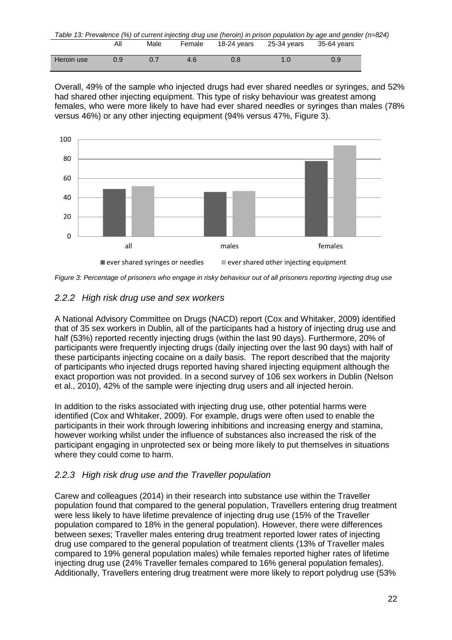|            |     |      |        |             |             | Table 13: Prevalence (%) of current injecting drug use (heroin) in prison population by age and gender (n=824) |  |
|------------|-----|------|--------|-------------|-------------|----------------------------------------------------------------------------------------------------------------|--|
|            | ΑIΙ | Male | Female | 18-24 vears | 25-34 vears | 35-64 vears                                                                                                    |  |
| Heroin use | 0.9 | 0.7  | 4.6    | 0.8         | 1.0         | 0.9                                                                                                            |  |
|            |     |      |        |             |             |                                                                                                                |  |

Overall, 49% of the sample who injected drugs had ever shared needles or syringes, and 52% had shared other injecting equipment. This type of risky behaviour was greatest among females, who were more likely to have had ever shared needles or syringes than males (78% versus 46%) or any other injecting equipment (94% versus 47%, Figure 3).



*Figure 3: Percentage of prisoners who engage in risky behaviour out of all prisoners reporting injecting drug use*

### <span id="page-22-0"></span>*2.2.2 High risk drug use and sex workers*

A National Advisory Committee on Drugs (NACD) report (Cox and Whitaker, 2009) identified that of 35 sex workers in Dublin, all of the participants had a history of injecting drug use and half (53%) reported recently injecting drugs (within the last 90 days). Furthermore, 20% of participants were frequently injecting drugs (daily injecting over the last 90 days) with half of these participants injecting cocaine on a daily basis. The report described that the majority of participants who injected drugs reported having shared injecting equipment although the exact proportion was not provided. In a second survey of 106 sex workers in Dublin (Nelson et al., 2010), 42% of the sample were injecting drug users and all injected heroin.

In addition to the risks associated with injecting drug use, other potential harms were identified (Cox and Whitaker, 2009). For example, drugs were often used to enable the participants in their work through lowering inhibitions and increasing energy and stamina, however working whilst under the influence of substances also increased the risk of the participant engaging in unprotected sex or being more likely to put themselves in situations where they could come to harm.

### <span id="page-22-1"></span>*2.2.3 High risk drug use and the Traveller population*

Carew and colleagues (2014) in their research into substance use within the Traveller population found that compared to the general population, Travellers entering drug treatment were less likely to have lifetime prevalence of injecting drug use (15% of the Traveller population compared to 18% in the general population). However, there were differences between sexes; Traveller males entering drug treatment reported lower rates of injecting drug use compared to the general population of treatment clients (13% of Traveller males compared to 19% general population males) while females reported higher rates of lifetime injecting drug use (24% Traveller females compared to 16% general population females). Additionally, Travellers entering drug treatment were more likely to report polydrug use (53%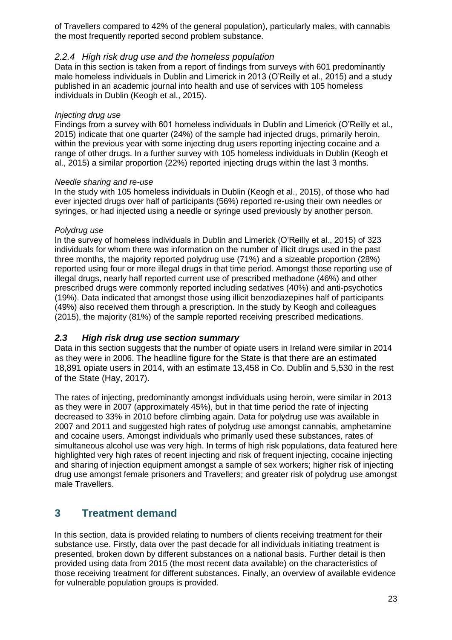of Travellers compared to 42% of the general population), particularly males, with cannabis the most frequently reported second problem substance.

#### <span id="page-23-0"></span>*2.2.4 High risk drug use and the homeless population*

Data in this section is taken from a report of findings from surveys with 601 predominantly male homeless individuals in Dublin and Limerick in 2013 (O'Reilly et al., 2015) and a study published in an academic journal into health and use of services with 105 homeless individuals in Dublin (Keogh et al., 2015).

#### *Injecting drug use*

Findings from a survey with 601 homeless individuals in Dublin and Limerick (O'Reilly et al., 2015) indicate that one quarter (24%) of the sample had injected drugs, primarily heroin, within the previous year with some injecting drug users reporting injecting cocaine and a range of other drugs. In a further survey with 105 homeless individuals in Dublin (Keogh et al., 2015) a similar proportion (22%) reported injecting drugs within the last 3 months.

#### *Needle sharing and re-use*

In the study with 105 homeless individuals in Dublin (Keogh et al., 2015), of those who had ever injected drugs over half of participants (56%) reported re-using their own needles or syringes, or had injected using a needle or syringe used previously by another person.

#### *Polydrug use*

In the survey of homeless individuals in Dublin and Limerick (O'Reilly et al., 2015) of 323 individuals for whom there was information on the number of illicit drugs used in the past three months, the majority reported polydrug use (71%) and a sizeable proportion (28%) reported using four or more illegal drugs in that time period. Amongst those reporting use of illegal drugs, nearly half reported current use of prescribed methadone (46%) and other prescribed drugs were commonly reported including sedatives (40%) and anti-psychotics (19%). Data indicated that amongst those using illicit benzodiazepines half of participants (49%) also received them through a prescription. In the study by Keogh and colleagues (2015), the majority (81%) of the sample reported receiving prescribed medications.

#### <span id="page-23-1"></span>*2.3 High risk drug use section summary*

Data in this section suggests that the number of opiate users in Ireland were similar in 2014 as they were in 2006. The headline figure for the State is that there are an estimated 18,891 opiate users in 2014, with an estimate 13,458 in Co. Dublin and 5,530 in the rest of the State (Hay, 2017).

The rates of injecting, predominantly amongst individuals using heroin, were similar in 2013 as they were in 2007 (approximately 45%), but in that time period the rate of injecting decreased to 33% in 2010 before climbing again. Data for polydrug use was available in 2007 and 2011 and suggested high rates of polydrug use amongst cannabis, amphetamine and cocaine users. Amongst individuals who primarily used these substances, rates of simultaneous alcohol use was very high. In terms of high risk populations, data featured here highlighted very high rates of recent injecting and risk of frequent injecting, cocaine injecting and sharing of injection equipment amongst a sample of sex workers; higher risk of injecting drug use amongst female prisoners and Travellers; and greater risk of polydrug use amongst male Travellers.

### <span id="page-23-2"></span>**3 Treatment demand**

In this section, data is provided relating to numbers of clients receiving treatment for their substance use. Firstly, data over the past decade for all individuals initiating treatment is presented, broken down by different substances on a national basis. Further detail is then provided using data from 2015 (the most recent data available) on the characteristics of those receiving treatment for different substances. Finally, an overview of available evidence for vulnerable population groups is provided.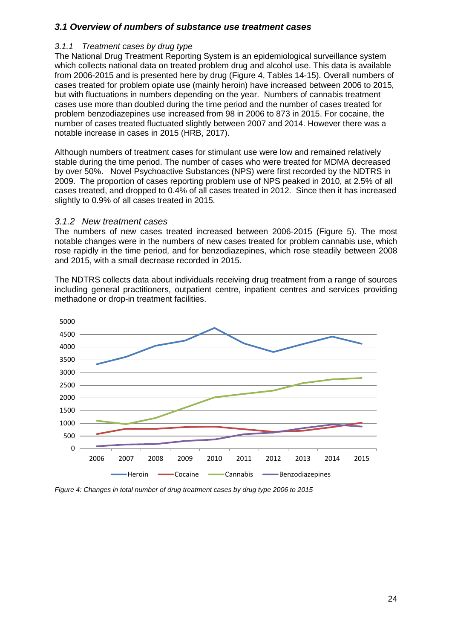#### <span id="page-24-0"></span>*3.1 Overview of numbers of substance use treatment cases*

#### <span id="page-24-1"></span>*3.1.1 Treatment cases by drug type*

The National Drug Treatment Reporting System is an epidemiological surveillance system which collects national data on treated problem drug and alcohol use. This data is available from 2006-2015 and is presented here by drug (Figure 4, Tables 14-15). Overall numbers of cases treated for problem opiate use (mainly heroin) have increased between 2006 to 2015, but with fluctuations in numbers depending on the year. Numbers of cannabis treatment cases use more than doubled during the time period and the number of cases treated for problem benzodiazepines use increased from 98 in 2006 to 873 in 2015. For cocaine, the number of cases treated fluctuated slightly between 2007 and 2014. However there was a notable increase in cases in 2015 (HRB, 2017).

Although numbers of treatment cases for stimulant use were low and remained relatively stable during the time period. The number of cases who were treated for MDMA decreased by over 50%. Novel Psychoactive Substances (NPS) were first recorded by the NDTRS in 2009. The proportion of cases reporting problem use of NPS peaked in 2010, at 2.5% of all cases treated, and dropped to 0.4% of all cases treated in 2012. Since then it has increased slightly to 0.9% of all cases treated in 2015.

#### <span id="page-24-2"></span>*3.1.2 New treatment cases*

The numbers of new cases treated increased between 2006-2015 (Figure 5). The most notable changes were in the numbers of new cases treated for problem cannabis use, which rose rapidly in the time period, and for benzodiazepines, which rose steadily between 2008 and 2015, with a small decrease recorded in 2015.

The NDTRS collects data about individuals receiving drug treatment from a range of sources including general practitioners, outpatient centre, inpatient centres and services providing methadone or drop-in treatment facilities.



*Figure 4: Changes in total number of drug treatment cases by drug type 2006 to 2015*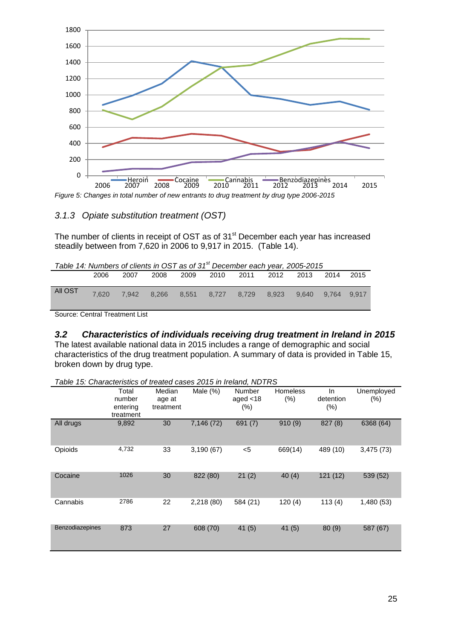

*Figure 5: Changes in total number of new entrants to drug treatment by drug type 2006-2015*

### <span id="page-25-0"></span>*3.1.3 Opiate substitution treatment (OST)*

The number of clients in receipt of OST as of 31<sup>st</sup> December each year has increased steadily between from 7,620 in 2006 to 9,917 in 2015. (Table 14).

| Table 14: Numbers of clients in OST as of $31st$ December each year, 2005-2015 |       |      |  |  |  |                                                       |  |  |  |  |  |
|--------------------------------------------------------------------------------|-------|------|--|--|--|-------------------------------------------------------|--|--|--|--|--|
|                                                                                | 2006  | 2007 |  |  |  | 2008 2009 2010 2011 2012 2013 2014 2015               |  |  |  |  |  |
|                                                                                |       |      |  |  |  |                                                       |  |  |  |  |  |
| All OST                                                                        | 7.620 |      |  |  |  | 7,942 8,266 8,551 8,727 8,729 8,923 9,640 9,764 9,917 |  |  |  |  |  |
|                                                                                |       |      |  |  |  |                                                       |  |  |  |  |  |

Source: Central Treatment List

#### <span id="page-25-1"></span>*3.2 Characteristics of individuals receiving drug treatment in Ireland in 2015*

The latest available national data in 2015 includes a range of demographic and social characteristics of the drug treatment population. A summary of data is provided in Table 15, broken down by drug type.

| Lable 15: Characteristics of treated cases 2015 in Ireland, NDTRS |                                          |                               |             |                               |                        |                          |                      |
|-------------------------------------------------------------------|------------------------------------------|-------------------------------|-------------|-------------------------------|------------------------|--------------------------|----------------------|
|                                                                   | Total<br>number<br>entering<br>treatment | Median<br>age at<br>treatment | Male $(\%)$ | Number<br>aged $<$ 18<br>(% ) | <b>Homeless</b><br>(%) | In.<br>detention<br>(% ) | Unemployed<br>$(\%)$ |
| All drugs                                                         | 9,892                                    | 30                            | 7,146 (72)  | 691(7)                        | 910(9)                 | 827(8)                   | 6368 (64)            |
| Opioids                                                           | 4,732                                    | 33                            | 3,190(67)   | $5$                           | 669(14)                | 489 (10)                 | 3,475(73)            |
| Cocaine                                                           | 1026                                     | 30                            | 822 (80)    | 21(2)                         | 40(4)                  | 121 (12)                 | 539 (52)             |
| Cannabis                                                          | 2786                                     | 22                            | 2,218 (80)  | 584 (21)                      | 120(4)                 | 113(4)                   | 1,480 (53)           |
| Benzodiazepines                                                   | 873                                      | 27                            | 608 (70)    | 41(5)                         | 41(5)                  | 80(9)                    | 587 (67)             |

*Table 15: Characteristics of treated cases 2015 in Ireland, NDTRS*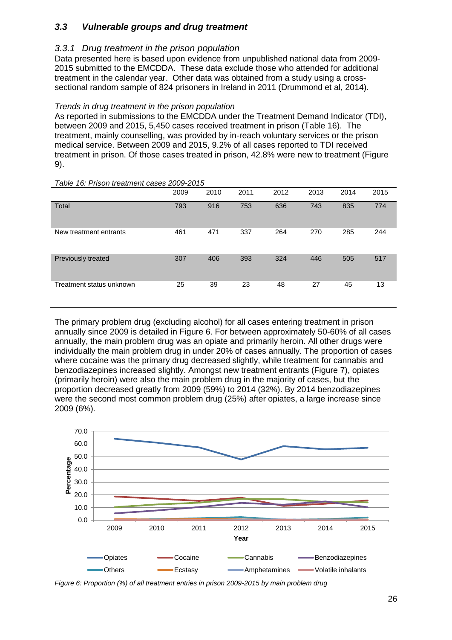### <span id="page-26-0"></span>*3.3 Vulnerable groups and drug treatment*

#### <span id="page-26-1"></span>*3.3.1 Drug treatment in the prison population*

Data presented here is based upon evidence from unpublished national data from 2009- 2015 submitted to the EMCDDA. These data exclude those who attended for additional treatment in the calendar year. Other data was obtained from a study using a crosssectional random sample of 824 prisoners in Ireland in 2011 (Drummond et al, 2014).

#### *Trends in drug treatment in the prison population*

As reported in submissions to the EMCDDA under the Treatment Demand Indicator (TDI), between 2009 and 2015, 5,450 cases received treatment in prison (Table 16). The treatment, mainly counselling, was provided by in-reach voluntary services or the prison medical service. Between 2009 and 2015, 9.2% of all cases reported to TDI received treatment in prison. Of those cases treated in prison, 42.8% were new to treatment (Figure 9).

|                          | 2009 | 2010 | 2011 | 2012 | 2013 | 2014 | 2015 |  |  |  |  |  |
|--------------------------|------|------|------|------|------|------|------|--|--|--|--|--|
| Total                    | 793  | 916  | 753  | 636  | 743  | 835  | 774  |  |  |  |  |  |
| New treatment entrants   | 461  | 471  | 337  | 264  | 270  | 285  | 244  |  |  |  |  |  |
| Previously treated       | 307  | 406  | 393  | 324  | 446  | 505  | 517  |  |  |  |  |  |
| Treatment status unknown | 25   | 39   | 23   | 48   | 27   | 45   | 13   |  |  |  |  |  |

#### *Table 16: Prison treatment cases 2009-2015*

The primary problem drug (excluding alcohol) for all cases entering treatment in prison annually since 2009 is detailed in Figure 6. For between approximately 50-60% of all cases annually, the main problem drug was an opiate and primarily heroin. All other drugs were individually the main problem drug in under 20% of cases annually. The proportion of cases where cocaine was the primary drug decreased slightly, while treatment for cannabis and benzodiazepines increased slightly. Amongst new treatment entrants (Figure 7), opiates (primarily heroin) were also the main problem drug in the majority of cases, but the proportion decreased greatly from 2009 (59%) to 2014 (32%). By 2014 benzodiazepines were the second most common problem drug (25%) after opiates, a large increase since 2009 (6%).



*Figure 6: Proportion (%) of all treatment entries in prison 2009-2015 by main problem drug*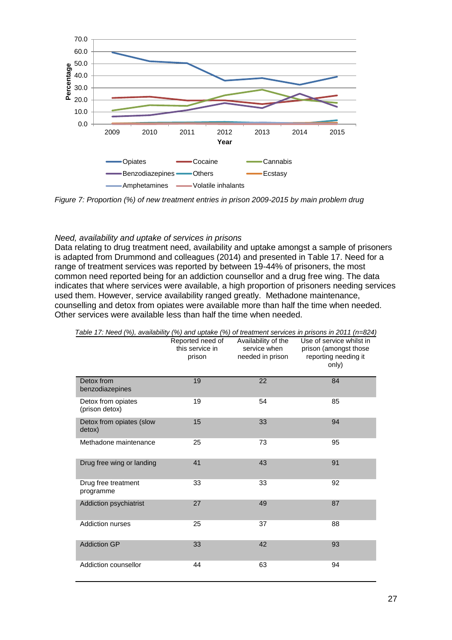

*Figure 7: Proportion (%) of new treatment entries in prison 2009-2015 by main problem drug*

#### *Need, availability and uptake of services in prisons*

Data relating to drug treatment need, availability and uptake amongst a sample of prisoners is adapted from Drummond and colleagues (2014) and presented in Table 17. Need for a range of treatment services was reported by between 19-44% of prisoners, the most common need reported being for an addiction counsellor and a drug free wing. The data indicates that where services were available, a high proportion of prisoners needing services used them. However, service availability ranged greatly. Methadone maintenance, counselling and detox from opiates were available more than half the time when needed. Other services were available less than half the time when needed.

|                                      | $\frac{1}{2}$<br>Reported need of<br>this service in<br>prison | Availability of the<br>service when<br>needed in prison | Use of service whilst in<br>prison (amongst those<br>reporting needing it<br>only) |
|--------------------------------------|----------------------------------------------------------------|---------------------------------------------------------|------------------------------------------------------------------------------------|
| Detox from<br>benzodiazepines        | 19                                                             | 22                                                      | 84                                                                                 |
| Detox from opiates<br>(prison detox) | 19                                                             | 54                                                      | 85                                                                                 |
| Detox from opiates (slow<br>detox)   | 15                                                             | 33                                                      | 94                                                                                 |
| Methadone maintenance                | 25                                                             | 73                                                      | 95                                                                                 |
| Drug free wing or landing            | 41                                                             | 43                                                      | 91                                                                                 |
| Drug free treatment<br>programme     | 33                                                             | 33                                                      | 92                                                                                 |
| Addiction psychiatrist               | 27                                                             | 49                                                      | 87                                                                                 |
| Addiction nurses                     | 25                                                             | 37                                                      | 88                                                                                 |
| <b>Addiction GP</b>                  | 33                                                             | 42                                                      | 93                                                                                 |
| Addiction counsellor                 | 44                                                             | 63                                                      | 94                                                                                 |

*Table 17: Need (%), availability (%) and uptake (%) of treatment services in prisons in 2011 (n=824)*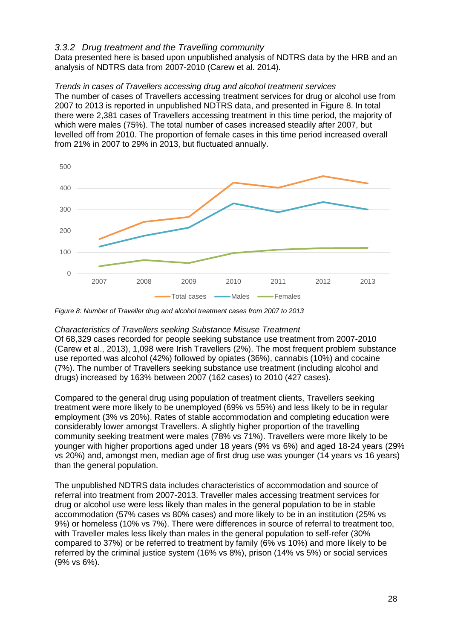#### <span id="page-28-0"></span>*3.3.2 Drug treatment and the Travelling community*

Data presented here is based upon unpublished analysis of NDTRS data by the HRB and an analysis of NDTRS data from 2007-2010 (Carew et al. 2014).

#### *Trends in cases of Travellers accessing drug and alcohol treatment services*

The number of cases of Travellers accessing treatment services for drug or alcohol use from 2007 to 2013 is reported in unpublished NDTRS data, and presented in Figure 8. In total there were 2,381 cases of Travellers accessing treatment in this time period, the majority of which were males (75%). The total number of cases increased steadily after 2007, but levelled off from 2010. The proportion of female cases in this time period increased overall from 21% in 2007 to 29% in 2013, but fluctuated annually.



*Figure 8: Number of Traveller drug and alcohol treatment cases from 2007 to 2013*

#### *Characteristics of Travellers seeking Substance Misuse Treatment*

Of 68,329 cases recorded for people seeking substance use treatment from 2007-2010 (Carew et al., 2013), 1,098 were Irish Travellers (2%). The most frequent problem substance use reported was alcohol (42%) followed by opiates (36%), cannabis (10%) and cocaine (7%). The number of Travellers seeking substance use treatment (including alcohol and drugs) increased by 163% between 2007 (162 cases) to 2010 (427 cases).

Compared to the general drug using population of treatment clients, Travellers seeking treatment were more likely to be unemployed (69% vs 55%) and less likely to be in regular employment (3% vs 20%). Rates of stable accommodation and completing education were considerably lower amongst Travellers. A slightly higher proportion of the travelling community seeking treatment were males (78% vs 71%). Travellers were more likely to be younger with higher proportions aged under 18 years (9% vs 6%) and aged 18-24 years (29% vs 20%) and, amongst men, median age of first drug use was younger (14 years vs 16 years) than the general population.

The unpublished NDTRS data includes characteristics of accommodation and source of referral into treatment from 2007-2013. Traveller males accessing treatment services for drug or alcohol use were less likely than males in the general population to be in stable accommodation (57% cases vs 80% cases) and more likely to be in an institution (25% vs 9%) or homeless (10% vs 7%). There were differences in source of referral to treatment too, with Traveller males less likely than males in the general population to self-refer (30% compared to 37%) or be referred to treatment by family (6% vs 10%) and more likely to be referred by the criminal justice system (16% vs 8%), prison (14% vs 5%) or social services (9% vs 6%).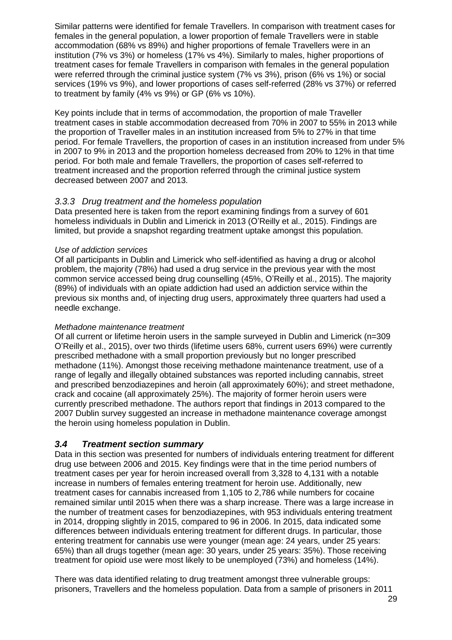Similar patterns were identified for female Travellers. In comparison with treatment cases for females in the general population, a lower proportion of female Travellers were in stable accommodation (68% vs 89%) and higher proportions of female Travellers were in an institution (7% vs 3%) or homeless (17% vs 4%). Similarly to males, higher proportions of treatment cases for female Travellers in comparison with females in the general population were referred through the criminal justice system (7% vs 3%), prison (6% vs 1%) or social services (19% vs 9%), and lower proportions of cases self-referred (28% vs 37%) or referred to treatment by family (4% vs 9%) or GP (6% vs 10%).

Key points include that in terms of accommodation, the proportion of male Traveller treatment cases in stable accommodation decreased from 70% in 2007 to 55% in 2013 while the proportion of Traveller males in an institution increased from 5% to 27% in that time period. For female Travellers, the proportion of cases in an institution increased from under 5% in 2007 to 9% in 2013 and the proportion homeless decreased from 20% to 12% in that time period. For both male and female Travellers, the proportion of cases self-referred to treatment increased and the proportion referred through the criminal justice system decreased between 2007 and 2013.

#### <span id="page-29-0"></span>*3.3.3 Drug treatment and the homeless population*

Data presented here is taken from the report examining findings from a survey of 601 homeless individuals in Dublin and Limerick in 2013 (O'Reilly et al., 2015). Findings are limited, but provide a snapshot regarding treatment uptake amongst this population.

#### *Use of addiction services*

Of all participants in Dublin and Limerick who self-identified as having a drug or alcohol problem, the majority (78%) had used a drug service in the previous year with the most common service accessed being drug counselling (45%, O'Reilly et al., 2015). The majority (89%) of individuals with an opiate addiction had used an addiction service within the previous six months and, of injecting drug users, approximately three quarters had used a needle exchange.

#### *Methadone maintenance treatment*

Of all current or lifetime heroin users in the sample surveyed in Dublin and Limerick (n=309 O'Reilly et al., 2015), over two thirds (lifetime users 68%, current users 69%) were currently prescribed methadone with a small proportion previously but no longer prescribed methadone (11%). Amongst those receiving methadone maintenance treatment, use of a range of legally and illegally obtained substances was reported including cannabis, street and prescribed benzodiazepines and heroin (all approximately 60%); and street methadone, crack and cocaine (all approximately 25%). The majority of former heroin users were currently prescribed methadone. The authors report that findings in 2013 compared to the 2007 Dublin survey suggested an increase in methadone maintenance coverage amongst the heroin using homeless population in Dublin.

#### <span id="page-29-1"></span>*3.4 Treatment section summary*

Data in this section was presented for numbers of individuals entering treatment for different drug use between 2006 and 2015. Key findings were that in the time period numbers of treatment cases per year for heroin increased overall from 3,328 to 4,131 with a notable increase in numbers of females entering treatment for heroin use. Additionally, new treatment cases for cannabis increased from 1,105 to 2,786 while numbers for cocaine remained similar until 2015 when there was a sharp increase. There was a large increase in the number of treatment cases for benzodiazepines, with 953 individuals entering treatment in 2014, dropping slightly in 2015, compared to 96 in 2006. In 2015, data indicated some differences between individuals entering treatment for different drugs. In particular, those entering treatment for cannabis use were younger (mean age: 24 years, under 25 years: 65%) than all drugs together (mean age: 30 years, under 25 years: 35%). Those receiving treatment for opioid use were most likely to be unemployed (73%) and homeless (14%).

There was data identified relating to drug treatment amongst three vulnerable groups: prisoners, Travellers and the homeless population. Data from a sample of prisoners in 2011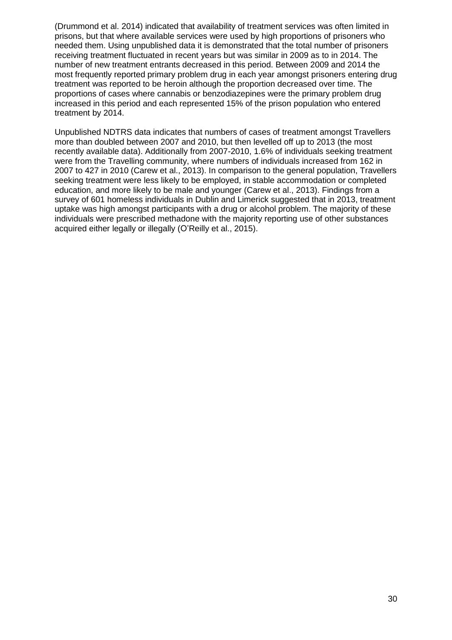(Drummond et al. 2014) indicated that availability of treatment services was often limited in prisons, but that where available services were used by high proportions of prisoners who needed them. Using unpublished data it is demonstrated that the total number of prisoners receiving treatment fluctuated in recent years but was similar in 2009 as to in 2014. The number of new treatment entrants decreased in this period. Between 2009 and 2014 the most frequently reported primary problem drug in each year amongst prisoners entering drug treatment was reported to be heroin although the proportion decreased over time. The proportions of cases where cannabis or benzodiazepines were the primary problem drug increased in this period and each represented 15% of the prison population who entered treatment by 2014.

Unpublished NDTRS data indicates that numbers of cases of treatment amongst Travellers more than doubled between 2007 and 2010, but then levelled off up to 2013 (the most recently available data). Additionally from 2007-2010, 1.6% of individuals seeking treatment were from the Travelling community, where numbers of individuals increased from 162 in 2007 to 427 in 2010 (Carew et al., 2013). In comparison to the general population, Travellers seeking treatment were less likely to be employed, in stable accommodation or completed education, and more likely to be male and younger (Carew et al., 2013). Findings from a survey of 601 homeless individuals in Dublin and Limerick suggested that in 2013, treatment uptake was high amongst participants with a drug or alcohol problem. The majority of these individuals were prescribed methadone with the majority reporting use of other substances acquired either legally or illegally (O'Reilly et al., 2015).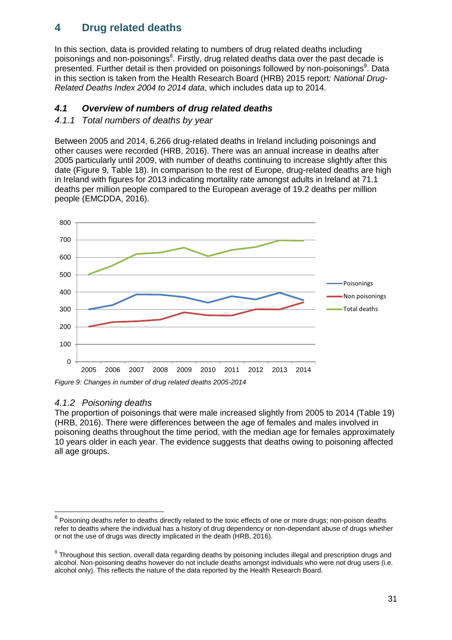## <span id="page-31-0"></span>**4 Drug related deaths**

In this section, data is provided relating to numbers of drug related deaths including poisonings and non-poisonings<sup>8</sup>. Firstly, drug related deaths data over the past decade is presented. Further detail is then provided on poisonings followed by non-poisonings<sup>9</sup>. Data in this section is taken from the Health Research Board (HRB) 2015 report*: National Drug-Related Deaths Index 2004 to 2014 data*, which includes data up to 2014.

### <span id="page-31-1"></span>*4.1 Overview of numbers of drug related deaths*

#### <span id="page-31-2"></span>*4.1.1 Total numbers of deaths by year*

Between 2005 and 2014, 6,266 drug-related deaths in Ireland including poisonings and other causes were recorded (HRB, 2016). There was an annual increase in deaths after 2005 particularly until 2009, with number of deaths continuing to increase slightly after this date (Figure 9, Table 18). In comparison to the rest of Europe, drug-related deaths are high in Ireland with figures for 2013 indicating mortality rate amongst adults in Ireland at 71.1 deaths per million people compared to the European average of 19.2 deaths per million people (EMCDDA, 2016).



*Figure 9: Changes in number of drug related deaths 2005-2014*

### <span id="page-31-3"></span>*4.1.2 Poisoning deaths*

The proportion of poisonings that were male increased slightly from 2005 to 2014 (Table 19) (HRB, 2016). There were differences between the age of females and males involved in poisoning deaths throughout the time period, with the median age for females approximately 10 years older in each year. The evidence suggests that deaths owing to poisoning affected all age groups.

<sup>————————————————————&</sup>lt;br><sup>8</sup> Poisoning deaths refer to deaths directly related to the toxic effects of one or more drugs; non-poison deaths refer to deaths where the individual has a history of drug dependency or non-dependant abuse of drugs whether or not the use of drugs was directly implicated in the death (HRB, 2016).

 $9$  Throughout this section, overall data regarding deaths by poisoning includes illegal and prescription drugs and alcohol. Non-poisoning deaths however do not include deaths amongst individuals who were not drug users (i.e. alcohol only). This reflects the nature of the data reported by the Health Research Board.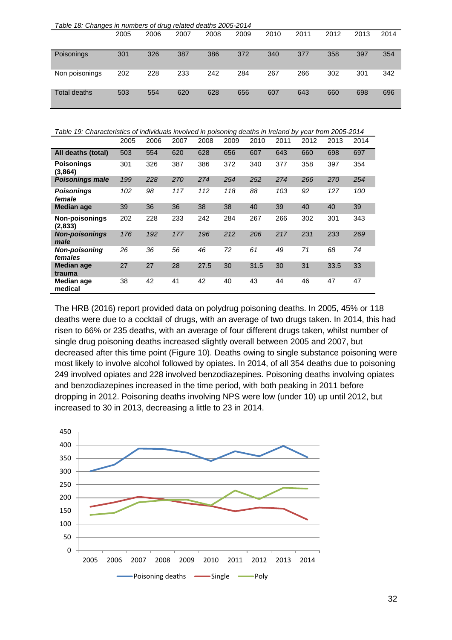| Table 18: Changes in numbers of drug related deaths 2005-2014 |      |      |      |      |      |      |      |      |      |      |
|---------------------------------------------------------------|------|------|------|------|------|------|------|------|------|------|
|                                                               | 2005 | 2006 | 2007 | 2008 | 2009 | 2010 | 2011 | 2012 | 2013 | 2014 |
|                                                               |      |      |      |      |      |      |      |      |      |      |
| Poisonings                                                    | 301  | 326  | 387  | 386  | 372  | 340  | 377  | 358  | 397  | 354  |
|                                                               |      |      |      |      |      |      |      |      |      |      |
| Non poisonings                                                | 202  | 228  | 233  | 242  | 284  | 267  | 266  | 302  | 301  | 342  |
|                                                               |      |      |      |      |      |      |      |      |      |      |
| Total deaths                                                  | 503  | 554  | 620  | 628  | 656  | 607  | 643  | 660  | 698  | 696  |
|                                                               |      |      |      |      |      |      |      |      |      |      |

*Table 19: Characteristics of individuals involved in poisoning deaths in Ireland by year from 2005-2014*

|                                  | 2005 | 2006 | 2007 | 2008 | 2009 | 2010 | 2011 | 2012 | 2013 | 2014 |
|----------------------------------|------|------|------|------|------|------|------|------|------|------|
| All deaths (total)               | 503  | 554  | 620  | 628  | 656  | 607  | 643  | 660  | 698  | 697  |
| <b>Poisonings</b><br>(3,864)     | 301  | 326  | 387  | 386  | 372  | 340  | 377  | 358  | 397  | 354  |
| <b>Poisonings male</b>           | 199  | 228  | 270  | 274  | 254  | 252  | 274  | 266  | 270  | 254  |
| <b>Poisonings</b><br>female      | 102  | 98   | 117  | 112  | 118  | 88   | 103  | 92   | 127  | 100  |
| <b>Median age</b>                | 39   | 36   | 36   | 38   | 38   | 40   | 39   | 40   | 40   | 39   |
| <b>Non-poisonings</b><br>(2,833) | 202  | 228  | 233  | 242  | 284  | 267  | 266  | 302  | 301  | 343  |
| <b>Non-poisonings</b><br>male    | 176  | 192  | 177  | 196  | 212  | 206  | 217  | 231  | 233  | 269  |
| <b>Non-poisoning</b><br>females  | 26   | 36   | 56   | 46   | 72   | 61   | 49   | 71   | 68   | 74   |
| <b>Median age</b><br>trauma      | 27   | 27   | 28   | 27.5 | 30   | 31.5 | 30   | 31   | 33.5 | 33   |
| Median age<br>medical            | 38   | 42   | 41   | 42   | 40   | 43   | 44   | 46   | 47   | 47   |

The HRB (2016) report provided data on polydrug poisoning deaths. In 2005, 45% or 118 deaths were due to a cocktail of drugs, with an average of two drugs taken. In 2014, this had risen to 66% or 235 deaths, with an average of four different drugs taken, whilst number of single drug poisoning deaths increased slightly overall between 2005 and 2007, but decreased after this time point (Figure 10). Deaths owing to single substance poisoning were most likely to involve alcohol followed by opiates. In 2014, of all 354 deaths due to poisoning 249 involved opiates and 228 involved benzodiazepines. Poisoning deaths involving opiates and benzodiazepines increased in the time period, with both peaking in 2011 before dropping in 2012. Poisoning deaths involving NPS were low (under 10) up until 2012, but increased to 30 in 2013, decreasing a little to 23 in 2014.

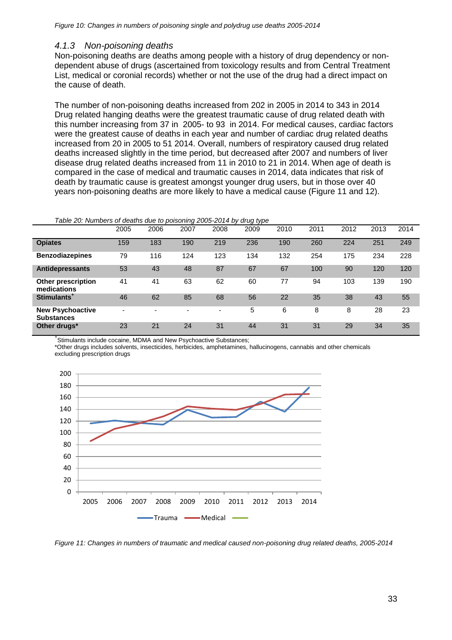#### <span id="page-33-0"></span>*4.1.3 Non-poisoning deaths*

Non-poisoning deaths are deaths among people with a history of drug dependency or nondependent abuse of drugs (ascertained from toxicology results and from Central Treatment List, medical or coronial records) whether or not the use of the drug had a direct impact on the cause of death.

The number of non-poisoning deaths increased from 202 in 2005 in 2014 to 343 in 2014 Drug related hanging deaths were the greatest traumatic cause of drug related death with this number increasing from 37 in 2005- to 93 in 2014. For medical causes, cardiac factors were the greatest cause of deaths in each year and number of cardiac drug related deaths increased from 20 in 2005 to 51 2014. Overall, numbers of respiratory caused drug related deaths increased slightly in the time period, but decreased after 2007 and numbers of liver disease drug related deaths increased from 11 in 2010 to 21 in 2014. When age of death is compared in the case of medical and traumatic causes in 2014, data indicates that risk of death by traumatic cause is greatest amongst younger drug users, but in those over 40 years non-poisoning deaths are more likely to have a medical cause (Figure 11 and 12).

|                                              | 2005                     | 2006 | 2007 | 2008 | 2009 | 2010 | 2011 | 2012 | 2013 | 2014 |
|----------------------------------------------|--------------------------|------|------|------|------|------|------|------|------|------|
| <b>Opiates</b>                               | 159                      | 183  | 190  | 219  | 236  | 190  | 260  | 224  | 251  | 249  |
| <b>Benzodiazepines</b>                       | 79                       | 116  | 124  | 123  | 134  | 132  | 254  | 175  | 234  | 228  |
| <b>Antidepressants</b>                       | 53                       | 43   | 48   | 87   | 67   | 67   | 100  | 90   | 120  | 120  |
| <b>Other prescription</b><br>medications     | 41                       | 41   | 63   | 62   | 60   | 77   | 94   | 103  | 139  | 190  |
| Stimulants <sup>+</sup>                      | 46                       | 62   | 85   | 68   | 56   | 22   | 35   | 38   | 43   | 55   |
| <b>New Psychoactive</b><br><b>Substances</b> | $\overline{\phantom{a}}$ |      |      |      | 5    | 6    | 8    | 8    | 28   | 23   |
| Other drugs*                                 | 23                       | 21   | 24   | 31   | 44   | 31   | 31   | 29   | 34   | 35   |

+ Stimulants include cocaine, MDMA and New Psychoactive Substances;

\*Other drugs includes solvents, insecticides, herbicides, amphetamines, hallucinogens, cannabis and other chemicals excluding prescription drugs



*Figure 11: Changes in numbers of traumatic and medical caused non-poisoning drug related deaths, 2005-2014*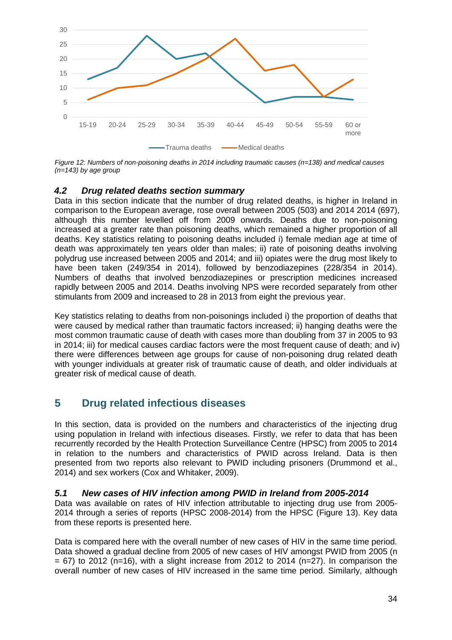

*Figure 12: Numbers of non-poisoning deaths in 2014 including traumatic causes (n=138) and medical causes (n=143) by age group*

#### <span id="page-34-0"></span>*4.2 Drug related deaths section summary*

Data in this section indicate that the number of drug related deaths, is higher in Ireland in comparison to the European average, rose overall between 2005 (503) and 2014 2014 (697), although this number levelled off from 2009 onwards. Deaths due to non-poisoning increased at a greater rate than poisoning deaths, which remained a higher proportion of all deaths. Key statistics relating to poisoning deaths included i) female median age at time of death was approximately ten years older than males; ii) rate of poisoning deaths involving polydrug use increased between 2005 and 2014; and iii) opiates were the drug most likely to have been taken (249/354 in 2014), followed by benzodiazepines (228/354 in 2014). Numbers of deaths that involved benzodiazepines or prescription medicines increased rapidly between 2005 and 2014. Deaths involving NPS were recorded separately from other stimulants from 2009 and increased to 28 in 2013 from eight the previous year.

Key statistics relating to deaths from non-poisonings included i) the proportion of deaths that were caused by medical rather than traumatic factors increased; ii) hanging deaths were the most common traumatic cause of death with cases more than doubling from 37 in 2005 to 93 in 2014; iii) for medical causes cardiac factors were the most frequent cause of death; and iv) there were differences between age groups for cause of non-poisoning drug related death with younger individuals at greater risk of traumatic cause of death, and older individuals at greater risk of medical cause of death.

### <span id="page-34-1"></span>**5 Drug related infectious diseases**

In this section, data is provided on the numbers and characteristics of the injecting drug using population in Ireland with infectious diseases. Firstly, we refer to data that has been recurrently recorded by the Health Protection Surveillance Centre (HPSC) from 2005 to 2014 in relation to the numbers and characteristics of PWID across Ireland. Data is then presented from two reports also relevant to PWID including prisoners (Drummond et al., 2014) and sex workers (Cox and Whitaker, 2009).

#### <span id="page-34-2"></span>*5.1 New cases of HIV infection among PWID in Ireland from 2005-2014*

Data was available on rates of HIV infection attributable to injecting drug use from 2005- 2014 through a series of reports (HPSC 2008-2014) from the HPSC (Figure 13). Key data from these reports is presented here.

Data is compared here with the overall number of new cases of HIV in the same time period. Data showed a gradual decline from 2005 of new cases of HIV amongst PWID from 2005 (n  $= 67$ ) to 2012 (n=16), with a slight increase from 2012 to 2014 (n=27). In comparison the overall number of new cases of HIV increased in the same time period. Similarly, although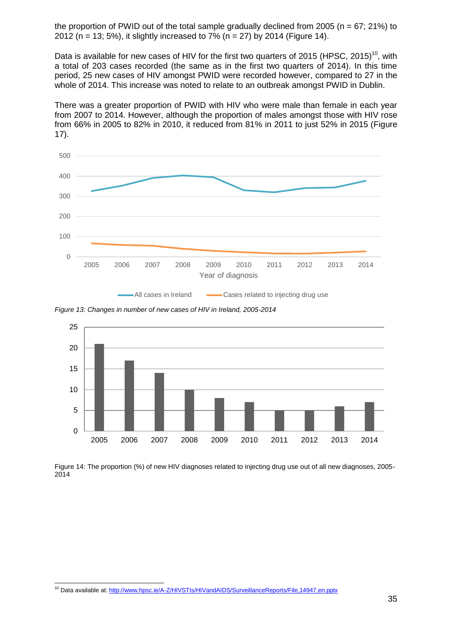the proportion of PWID out of the total sample gradually declined from 2005 ( $n = 67$ ; 21%) to 2012 (n = 13; 5%), it slightly increased to 7% (n = 27) by 2014 (Figure 14).

Data is available for new cases of HIV for the first two quarters of 2015 (HPSC, 2015)<sup>10</sup>, with a total of 203 cases recorded (the same as in the first two quarters of 2014). In this time period, 25 new cases of HIV amongst PWID were recorded however, compared to 27 in the whole of 2014. This increase was noted to relate to an outbreak amongst PWID in Dublin.

There was a greater proportion of PWID with HIV who were male than female in each year from 2007 to 2014. However, although the proportion of males amongst those with HIV rose from 66% in 2005 to 82% in 2010, it reduced from 81% in 2011 to just 52% in 2015 (Figure 17).





*Figure 13: Changes in number of new cases of HIV in Ireland, 2005-2014*



Figure 14: The proportion (%) of new HIV diagnoses related to injecting drug use out of all new diagnoses, 2005- 2014

<sup>10</sup> Data available at:<http://www.hpsc.ie/A-Z/HIVSTIs/HIVandAIDS/SurveillanceReports/File,14947,en.pptx>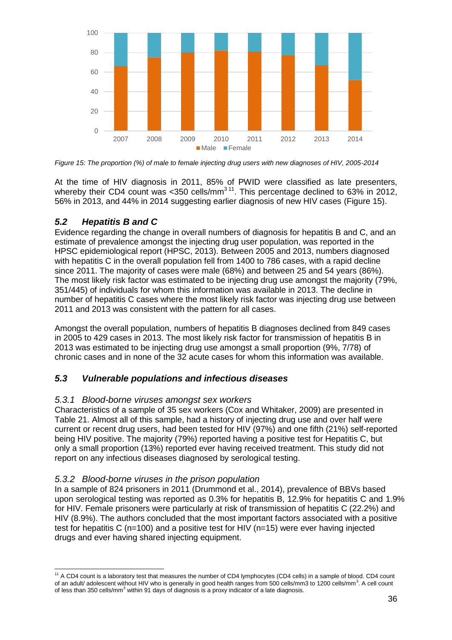

*Figure 15: The proportion (%) of male to female injecting drug users with new diagnoses of HIV, 2005-2014*

At the time of HIV diagnosis in 2011, 85% of PWID were classified as late presenters, whereby their CD4 count was <350 cells/mm<sup>311</sup>. This percentage declined to 63% in 2012, 56% in 2013, and 44% in 2014 suggesting earlier diagnosis of new HIV cases (Figure 15).

### <span id="page-36-0"></span>*5.2 Hepatitis B and C*

Evidence regarding the change in overall numbers of diagnosis for hepatitis B and C, and an estimate of prevalence amongst the injecting drug user population, was reported in the HPSC epidemiological report (HPSC, 2013). Between 2005 and 2013, numbers diagnosed with hepatitis C in the overall population fell from 1400 to 786 cases, with a rapid decline since 2011. The majority of cases were male (68%) and between 25 and 54 years (86%). The most likely risk factor was estimated to be injecting drug use amongst the majority (79%, 351/445) of individuals for whom this information was available in 2013. The decline in number of hepatitis C cases where the most likely risk factor was injecting drug use between 2011 and 2013 was consistent with the pattern for all cases.

Amongst the overall population, numbers of hepatitis B diagnoses declined from 849 cases in 2005 to 429 cases in 2013. The most likely risk factor for transmission of hepatitis B in 2013 was estimated to be injecting drug use amongst a small proportion (9%, 7/78) of chronic cases and in none of the 32 acute cases for whom this information was available.

### <span id="page-36-1"></span>*5.3 Vulnerable populations and infectious diseases*

### <span id="page-36-2"></span>*5.3.1 Blood-borne viruses amongst sex workers*

Characteristics of a sample of 35 sex workers (Cox and Whitaker, 2009) are presented in Table 21. Almost all of this sample, had a history of injecting drug use and over half were current or recent drug users, had been tested for HIV (97%) and one fifth (21%) self-reported being HIV positive. The majority (79%) reported having a positive test for Hepatitis C, but only a small proportion (13%) reported ever having received treatment. This study did not report on any infectious diseases diagnosed by serological testing.

#### <span id="page-36-3"></span>*5.3.2 Blood-borne viruses in the prison population*

In a sample of 824 prisoners in 2011 (Drummond et al., 2014), prevalence of BBVs based upon serological testing was reported as 0.3% for hepatitis B, 12.9% for hepatitis C and 1.9% for HIV. Female prisoners were particularly at risk of transmission of hepatitis C (22.2%) and HIV (8.9%). The authors concluded that the most important factors associated with a positive test for hepatitis C (n=100) and a positive test for HIV (n=15) were ever having injected drugs and ever having shared injecting equipment.

<sup>-</sup><sup>11</sup> A CD4 count is a laboratory test that measures the number of CD4 lymphocytes (CD4 cells) in a sample of blood. CD4 count of an adult/ adolescent without HIV who is generally in good health ranges from 500 cells/mm3 to 1200 cells/mm<sup>3</sup>. A cell count of less than 350 cells/mm<sup>3</sup> within 91 days of diagnosis is a proxy indicator of a late diagnosis.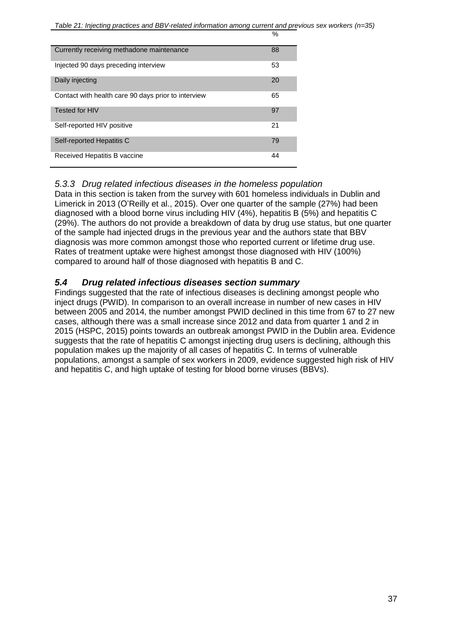$O_{\alpha}$ 

| Currently receiving methadone maintenance           | 88 |
|-----------------------------------------------------|----|
| Injected 90 days preceding interview                | 53 |
| Daily injecting                                     | 20 |
| Contact with health care 90 days prior to interview | 65 |
| Tested for HIV                                      | 97 |
| Self-reported HIV positive                          | 21 |
| Self-reported Hepatitis C                           | 79 |
| Received Hepatitis B vaccine                        | 44 |

### <span id="page-37-0"></span>*5.3.3 Drug related infectious diseases in the homeless population*

Data in this section is taken from the survey with 601 homeless individuals in Dublin and Limerick in 2013 (O'Reilly et al., 2015). Over one quarter of the sample (27%) had been diagnosed with a blood borne virus including HIV (4%), hepatitis B (5%) and hepatitis C (29%). The authors do not provide a breakdown of data by drug use status, but one quarter of the sample had injected drugs in the previous year and the authors state that BBV diagnosis was more common amongst those who reported current or lifetime drug use. Rates of treatment uptake were highest amongst those diagnosed with HIV (100%) compared to around half of those diagnosed with hepatitis B and C.

### <span id="page-37-1"></span>*5.4 Drug related infectious diseases section summary*

Findings suggested that the rate of infectious diseases is declining amongst people who inject drugs (PWID). In comparison to an overall increase in number of new cases in HIV between 2005 and 2014, the number amongst PWID declined in this time from 67 to 27 new cases, although there was a small increase since 2012 and data from quarter 1 and 2 in 2015 (HSPC, 2015) points towards an outbreak amongst PWID in the Dublin area. Evidence suggests that the rate of hepatitis C amongst injecting drug users is declining, although this population makes up the majority of all cases of hepatitis C. In terms of vulnerable populations, amongst a sample of sex workers in 2009, evidence suggested high risk of HIV and hepatitis C, and high uptake of testing for blood borne viruses (BBVs).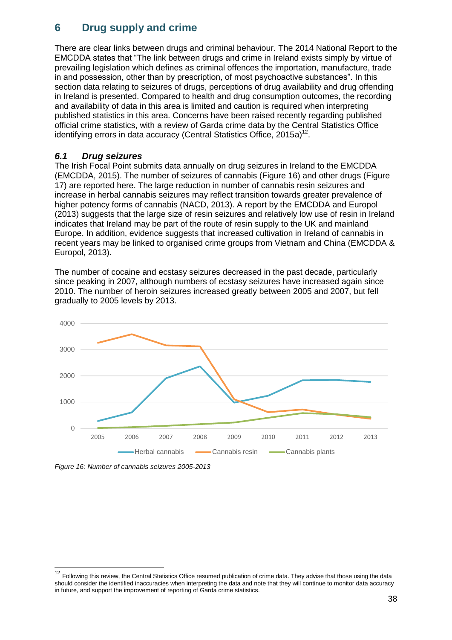## <span id="page-38-0"></span>**6 Drug supply and crime**

There are clear links between drugs and criminal behaviour. The 2014 National Report to the EMCDDA states that "The link between drugs and crime in Ireland exists simply by virtue of prevailing legislation which defines as criminal offences the importation, manufacture, trade in and possession, other than by prescription, of most psychoactive substances". In this section data relating to seizures of drugs, perceptions of drug availability and drug offending in Ireland is presented. Compared to health and drug consumption outcomes, the recording and availability of data in this area is limited and caution is required when interpreting published statistics in this area. Concerns have been raised recently regarding published official crime statistics, with a review of Garda crime data by the Central Statistics Office identifying errors in data accuracy (Central Statistics Office, 2015a)<sup>12</sup>.

#### <span id="page-38-1"></span>*6.1 Drug seizures*

The Irish Focal Point submits data annually on drug seizures in Ireland to the EMCDDA (EMCDDA, 2015). The number of seizures of cannabis (Figure 16) and other drugs (Figure 17) are reported here. The large reduction in number of cannabis resin seizures and increase in herbal cannabis seizures may reflect transition towards greater prevalence of higher potency forms of cannabis (NACD, 2013). A report by the EMCDDA and Europol (2013) suggests that the large size of resin seizures and relatively low use of resin in Ireland indicates that Ireland may be part of the route of resin supply to the UK and mainland Europe. In addition, evidence suggests that increased cultivation in Ireland of cannabis in recent years may be linked to organised crime groups from Vietnam and China (EMCDDA & Europol, 2013).

The number of cocaine and ecstasy seizures decreased in the past decade, particularly since peaking in 2007, although numbers of ecstasy seizures have increased again since 2010. The number of heroin seizures increased greatly between 2005 and 2007, but fell gradually to 2005 levels by 2013.



*Figure 16: Number of cannabis seizures 2005-2013*

-

<sup>12</sup> Following this review, the Central Statistics Office resumed publication of crime data. They advise that those using the data should consider the identified inaccuracies when interpreting the data and note that they will continue to monitor data accuracy in future, and support the improvement of reporting of Garda crime statistics.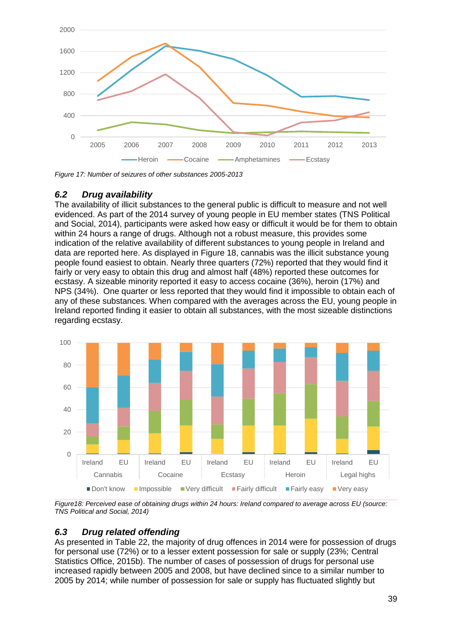

*Figure 17: Number of seizures of other substances 2005-2013*

### <span id="page-39-0"></span>*6.2 Drug availability*

The availability of illicit substances to the general public is difficult to measure and not well evidenced. As part of the 2014 survey of young people in EU member states (TNS Political and Social, 2014), participants were asked how easy or difficult it would be for them to obtain within 24 hours a range of drugs. Although not a robust measure, this provides some indication of the relative availability of different substances to young people in Ireland and data are reported here. As displayed in Figure 18, cannabis was the illicit substance young people found easiest to obtain. Nearly three quarters (72%) reported that they would find it fairly or very easy to obtain this drug and almost half (48%) reported these outcomes for ecstasy. A sizeable minority reported it easy to access cocaine (36%), heroin (17%) and NPS (34%). One quarter or less reported that they would find it impossible to obtain each of any of these substances. When compared with the averages across the EU, young people in Ireland reported finding it easier to obtain all substances, with the most sizeable distinctions regarding ecstasy.



*Figure18: Perceived ease of obtaining drugs within 24 hours: Ireland compared to average across EU (source: TNS Political and Social, 2014)*

#### <span id="page-39-1"></span>*6.3 Drug related offending*

As presented in Table 22, the majority of drug offences in 2014 were for possession of drugs for personal use (72%) or to a lesser extent possession for sale or supply (23%; Central Statistics Office, 2015b). The number of cases of possession of drugs for personal use increased rapidly between 2005 and 2008, but have declined since to a similar number to 2005 by 2014; while number of possession for sale or supply has fluctuated slightly but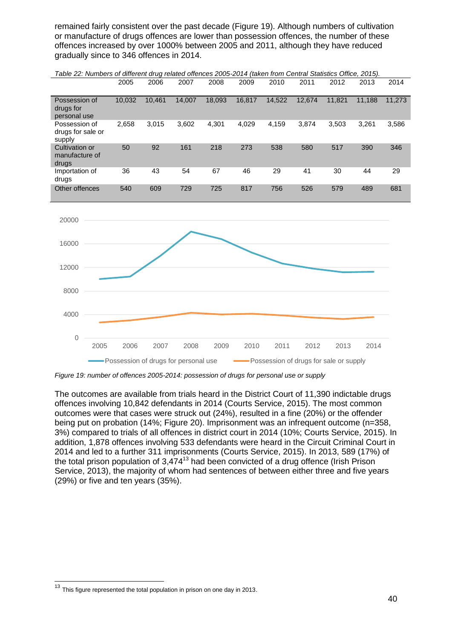remained fairly consistent over the past decade (Figure 19). Although numbers of cultivation or manufacture of drugs offences are lower than possession offences, the number of these offences increased by over 1000% between 2005 and 2011, although they have reduced gradually since to 346 offences in 2014.

| Table 22: Numbers of different drug related offences 2005-2014 (taken from Central Statistics Office, 2015). |        |        |        |        |        |        |        |        |        |        |
|--------------------------------------------------------------------------------------------------------------|--------|--------|--------|--------|--------|--------|--------|--------|--------|--------|
|                                                                                                              | 2005   | 2006   | 2007   | 2008   | 2009   | 2010   | 2011   | 2012   | 2013   | 2014   |
|                                                                                                              |        |        |        |        |        |        |        |        |        |        |
| Possession of<br>drugs for<br>personal use                                                                   | 10.032 | 10.461 | 14,007 | 18.093 | 16.817 | 14,522 | 12.674 | 11.821 | 11.188 | 11.273 |
| Possession of<br>drugs for sale or<br>supply                                                                 | 2.658  | 3,015  | 3.602  | 4.301  | 4.029  | 4,159  | 3.874  | 3.503  | 3.261  | 3,586  |
| <b>Cultivation or</b><br>manufacture of<br>drugs                                                             | 50     | 92     | 161    | 218    | 273    | 538    | 580    | 517    | 390    | 346    |
| Importation of<br>drugs                                                                                      | 36     | 43     | 54     | 67     | 46     | 29     | 41     | 30     | 44     | 29     |
| Other offences                                                                                               | 540    | 609    | 729    | 725    | 817    | 756    | 526    | 579    | 489    | 681    |



*Figure 19: number of offences 2005-2014: possession of drugs for personal use or supply*

The outcomes are available from trials heard in the District Court of 11,390 indictable drugs offences involving 10,842 defendants in 2014 (Courts Service, 2015). The most common outcomes were that cases were struck out (24%), resulted in a fine (20%) or the offender being put on probation (14%; Figure 20). Imprisonment was an infrequent outcome (n=358, 3%) compared to trials of all offences in district court in 2014 (10%; Courts Service, 2015). In addition, 1,878 offences involving 533 defendants were heard in the Circuit Criminal Court in 2014 and led to a further 311 imprisonments (Courts Service, 2015). In 2013, 589 (17%) of the total prison population of  $3,474^{13}$  had been convicted of a drug offence (Irish Prison Service, 2013), the majority of whom had sentences of between either three and five years (29%) or five and ten years (35%).

-

 $13$  This figure represented the total population in prison on one day in 2013.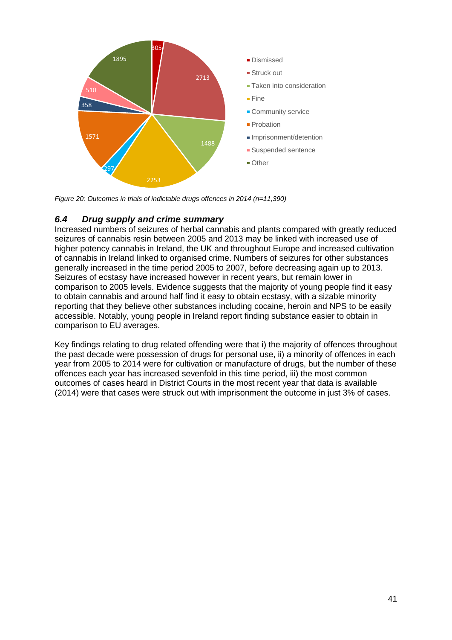

*Figure 20: Outcomes in trials of indictable drugs offences in 2014 (n=11,390)*

### <span id="page-41-0"></span>*6.4 Drug supply and crime summary*

Increased numbers of seizures of herbal cannabis and plants compared with greatly reduced seizures of cannabis resin between 2005 and 2013 may be linked with increased use of higher potency cannabis in Ireland, the UK and throughout Europe and increased cultivation of cannabis in Ireland linked to organised crime. Numbers of seizures for other substances generally increased in the time period 2005 to 2007, before decreasing again up to 2013. Seizures of ecstasy have increased however in recent years, but remain lower in comparison to 2005 levels. Evidence suggests that the majority of young people find it easy to obtain cannabis and around half find it easy to obtain ecstasy, with a sizable minority reporting that they believe other substances including cocaine, heroin and NPS to be easily accessible. Notably, young people in Ireland report finding substance easier to obtain in comparison to EU averages.

Key findings relating to drug related offending were that i) the majority of offences throughout the past decade were possession of drugs for personal use, ii) a minority of offences in each year from 2005 to 2014 were for cultivation or manufacture of drugs, but the number of these offences each year has increased sevenfold in this time period, iii) the most common outcomes of cases heard in District Courts in the most recent year that data is available (2014) were that cases were struck out with imprisonment the outcome in just 3% of cases.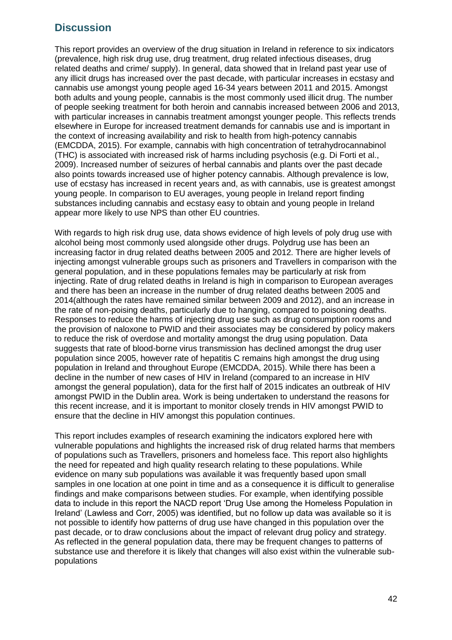### <span id="page-42-0"></span>**Discussion**

This report provides an overview of the drug situation in Ireland in reference to six indicators (prevalence, high risk drug use, drug treatment, drug related infectious diseases, drug related deaths and crime/ supply). In general, data showed that in Ireland past year use of any illicit drugs has increased over the past decade, with particular increases in ecstasy and cannabis use amongst young people aged 16-34 years between 2011 and 2015. Amongst both adults and young people, cannabis is the most commonly used illicit drug. The number of people seeking treatment for both heroin and cannabis increased between 2006 and 2013, with particular increases in cannabis treatment amongst younger people. This reflects trends elsewhere in Europe for increased treatment demands for cannabis use and is important in the context of increasing availability and risk to health from high-potency cannabis (EMCDDA, 2015). For example, cannabis with high concentration of tetrahydrocannabinol (THC) is associated with increased risk of harms including psychosis (e.g. Di Forti et al., 2009). Increased number of seizures of herbal cannabis and plants over the past decade also points towards increased use of higher potency cannabis. Although prevalence is low, use of ecstasy has increased in recent years and, as with cannabis, use is greatest amongst young people. In comparison to EU averages, young people in Ireland report finding substances including cannabis and ecstasy easy to obtain and young people in Ireland appear more likely to use NPS than other EU countries.

With regards to high risk drug use, data shows evidence of high levels of poly drug use with alcohol being most commonly used alongside other drugs. Polydrug use has been an increasing factor in drug related deaths between 2005 and 2012. There are higher levels of injecting amongst vulnerable groups such as prisoners and Travellers in comparison with the general population, and in these populations females may be particularly at risk from injecting. Rate of drug related deaths in Ireland is high in comparison to European averages and there has been an increase in the number of drug related deaths between 2005 and 2014(although the rates have remained similar between 2009 and 2012), and an increase in the rate of non-poising deaths, particularly due to hanging, compared to poisoning deaths. Responses to reduce the harms of injecting drug use such as drug consumption rooms and the provision of naloxone to PWID and their associates may be considered by policy makers to reduce the risk of overdose and mortality amongst the drug using population. Data suggests that rate of blood-borne virus transmission has declined amongst the drug user population since 2005, however rate of hepatitis C remains high amongst the drug using population in Ireland and throughout Europe (EMCDDA, 2015). While there has been a decline in the number of new cases of HIV in Ireland (compared to an increase in HIV amongst the general population), data for the first half of 2015 indicates an outbreak of HIV amongst PWID in the Dublin area. Work is being undertaken to understand the reasons for this recent increase, and it is important to monitor closely trends in HIV amongst PWID to ensure that the decline in HIV amongst this population continues.

This report includes examples of research examining the indicators explored here with vulnerable populations and highlights the increased risk of drug related harms that members of populations such as Travellers, prisoners and homeless face. This report also highlights the need for repeated and high quality research relating to these populations. While evidence on many sub populations was available it was frequently based upon small samples in one location at one point in time and as a consequence it is difficult to generalise findings and make comparisons between studies. For example, when identifying possible data to include in this report the NACD report 'Drug Use among the Homeless Population in Ireland' (Lawless and Corr, 2005) was identified, but no follow up data was available so it is not possible to identify how patterns of drug use have changed in this population over the past decade, or to draw conclusions about the impact of relevant drug policy and strategy. As reflected in the general population data, there may be frequent changes to patterns of substance use and therefore it is likely that changes will also exist within the vulnerable subpopulations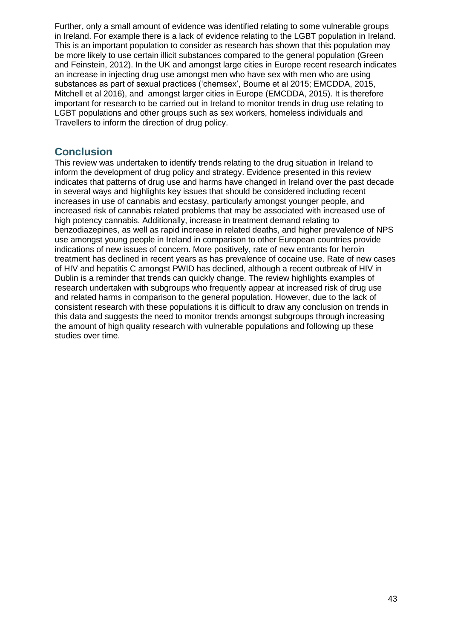Further, only a small amount of evidence was identified relating to some vulnerable groups in Ireland. For example there is a lack of evidence relating to the LGBT population in Ireland. This is an important population to consider as research has shown that this population may be more likely to use certain illicit substances compared to the general population (Green and Feinstein, 2012). In the UK and amongst large cities in Europe recent research indicates an increase in injecting drug use amongst men who have sex with men who are using substances as part of sexual practices ('chemsex', Bourne et al 2015; EMCDDA, 2015, Mitchell et al 2016), and amongst larger cities in Europe (EMCDDA, 2015). It is therefore important for research to be carried out in Ireland to monitor trends in drug use relating to LGBT populations and other groups such as sex workers, homeless individuals and Travellers to inform the direction of drug policy.

### <span id="page-43-0"></span>**Conclusion**

This review was undertaken to identify trends relating to the drug situation in Ireland to inform the development of drug policy and strategy. Evidence presented in this review indicates that patterns of drug use and harms have changed in Ireland over the past decade in several ways and highlights key issues that should be considered including recent increases in use of cannabis and ecstasy, particularly amongst younger people, and increased risk of cannabis related problems that may be associated with increased use of high potency cannabis. Additionally, increase in treatment demand relating to benzodiazepines, as well as rapid increase in related deaths, and higher prevalence of NPS use amongst young people in Ireland in comparison to other European countries provide indications of new issues of concern. More positively, rate of new entrants for heroin treatment has declined in recent years as has prevalence of cocaine use. Rate of new cases of HIV and hepatitis C amongst PWID has declined, although a recent outbreak of HIV in Dublin is a reminder that trends can quickly change. The review highlights examples of research undertaken with subgroups who frequently appear at increased risk of drug use and related harms in comparison to the general population. However, due to the lack of consistent research with these populations it is difficult to draw any conclusion on trends in this data and suggests the need to monitor trends amongst subgroups through increasing the amount of high quality research with vulnerable populations and following up these studies over time.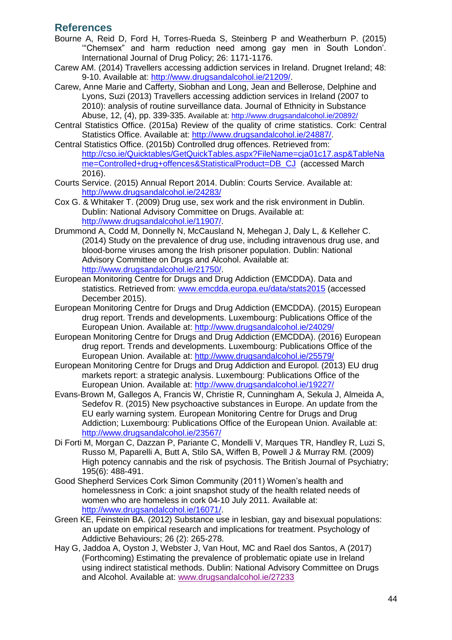### <span id="page-44-0"></span>**References**

- Bourne A, Reid D, Ford H, Torres-Rueda S, Steinberg P and Weatherburn P. (2015) '"Chemsex" and harm reduction need among gay men in South London'. International Journal of Drug Policy; 26: 1171-1176.
- Carew AM. (2014) Travellers accessing addiction services in Ireland. Drugnet Ireland; 48: 9-10. Available at: [http://www.drugsandalcohol.ie/21209/.](http://www.drugsandalcohol.ie/21209/)
- Carew, Anne Marie and Cafferty, Siobhan and Long, Jean and Bellerose, Delphine and Lyons, Suzi (2013) Travellers accessing addiction services in Ireland (2007 to 2010): analysis of routine surveillance data. Journal of Ethnicity in Substance Abuse, 12, (4), pp. 339-335. Available at:<http://www.drugsandalcohol.ie/20892/>
- Central Statistics Office. (2015a) Review of the quality of crime statistics. Cork: Central Statistics Office. Available at: [http://www.drugsandalcohol.ie/24887/.](http://www.drugsandalcohol.ie/24887/)
- Central Statistics Office. (2015b) Controlled drug offences. Retrieved from: [http://cso.ie/Quicktables/GetQuickTables.aspx?FileName=cja01c17.asp&TableNa](http://cso.ie/Quicktables/GetQuickTables.aspx?FileName=cja01c17.asp&TableName=Controlled+drug+offences&StatisticalProduct=DB_CJ) [me=Controlled+drug+offences&StatisticalProduct=DB\\_CJ](http://cso.ie/Quicktables/GetQuickTables.aspx?FileName=cja01c17.asp&TableName=Controlled+drug+offences&StatisticalProduct=DB_CJ) (accessed March 2016).
- Courts Service. (2015) Annual Report 2014. Dublin: Courts Service. Available at: <http://www.drugsandalcohol.ie/24283/>
- Cox G. & Whitaker T. (2009) Drug use, sex work and the risk environment in Dublin. Dublin: National Advisory Committee on Drugs. Available at: [http://www.drugsandalcohol.ie/11907/.](http://www.drugsandalcohol.ie/11907/)
- Drummond A, Codd M, Donnelly N, McCausland N, Mehegan J, Daly L, & Kelleher C. (2014) Study on the prevalence of drug use, including intravenous drug use, and blood-borne viruses among the Irish prisoner population. Dublin: National Advisory Committee on Drugs and Alcohol. Available at: [http://www.drugsandalcohol.ie/21750/.](http://www.drugsandalcohol.ie/21750/)
- European Monitoring Centre for Drugs and Drug Addiction (EMCDDA). Data and statistics. Retrieved from: [www.emcdda.europa.eu/data/stats2015](http://www.emcdda.europa.eu/data/stats2015) (accessed December 2015).
- European Monitoring Centre for Drugs and Drug Addiction (EMCDDA). (2015) European drug report. Trends and developments. Luxembourg: Publications Office of the European Union. Available at:<http://www.drugsandalcohol.ie/24029/>
- European Monitoring Centre for Drugs and Drug Addiction (EMCDDA). (2016) European drug report. Trends and developments. Luxembourg: Publications Office of the European Union. Available at:<http://www.drugsandalcohol.ie/25579/>
- European Monitoring Centre for Drugs and Drug Addiction and Europol. (2013) EU drug markets report: a strategic analysis. Luxembourg: Publications Office of the European Union. Available at:<http://www.drugsandalcohol.ie/19227/>
- Evans-Brown M, Gallegos A, Francis W, Christie R, Cunningham A, Sekula J, Almeida A, Sedefov R. (2015) New psychoactive substances in Europe. An update from the EU early warning system. European Monitoring Centre for Drugs and Drug Addiction; Luxembourg: Publications Office of the European Union. Available at: <http://www.drugsandalcohol.ie/23567/>
- Di Forti M, Morgan C, Dazzan P, Pariante C, Mondelli V, Marques TR, Handley R, Luzi S, Russo M, Paparelli A, Butt A, Stilo SA, Wiffen B, Powell J & Murray RM. (2009) High potency cannabis and the risk of psychosis. The British Journal of Psychiatry; 195(6): 488-491.
- Good Shepherd Services Cork Simon Community (2011) Women's health and homelessness in Cork: a joint snapshot study of the health related needs of women who are homeless in cork 04-10 July 2011. Available at: [http://www.drugsandalcohol.ie/16071/.](http://www.drugsandalcohol.ie/16071/)
- Green KE, Feinstein BA. (2012) Substance use in lesbian, gay and bisexual populations: an update on empirical research and implications for treatment. Psychology of Addictive Behaviours; 26 (2): 265-278.
- Hay G, Jaddoa A, Oyston J, Webster J, Van Hout, MC and Rael dos Santos, A (2017) (Forthcoming) Estimating the prevalence of problematic opiate use in Ireland using indirect statistical methods. Dublin: National Advisory Committee on Drugs and Alcohol. Available at: [www.drugsandalcohol.ie/27233](http://www.drugsandalcohol.ie/27233)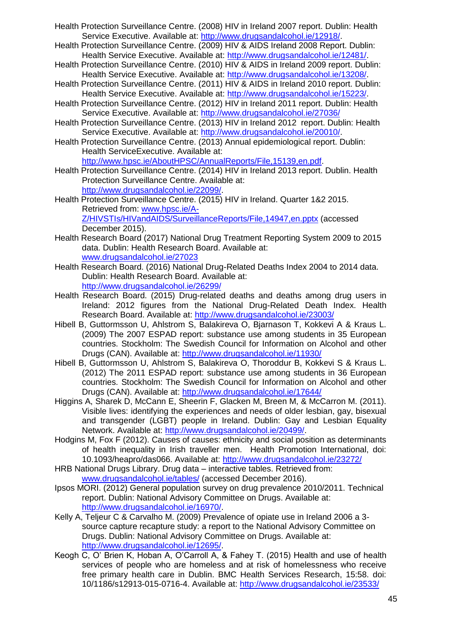- Health Protection Surveillance Centre. (2008) HIV in Ireland 2007 report. Dublin: Health Service Executive. Available at: [http://www.drugsandalcohol.ie/12918/.](http://www.drugsandalcohol.ie/12918/)
- Health Protection Surveillance Centre. (2009) HIV & AIDS Ireland 2008 Report. Dublin: Health Service Executive. Available at: [http://www.drugsandalcohol.ie/12481/.](http://www.drugsandalcohol.ie/12481/)
- Health Protection Surveillance Centre. (2010) HIV & AIDS in Ireland 2009 report. Dublin: Health Service Executive. Available at: [http://www.drugsandalcohol.ie/13208/.](http://www.drugsandalcohol.ie/13208/)
- Health Protection Surveillance Centre. (2011) HIV & AIDS in Ireland 2010 report. Dublin: Health Service Executive. Available at: [http://www.drugsandalcohol.ie/15223/.](http://www.drugsandalcohol.ie/15223/)
- Health Protection Surveillance Centre. (2012) HIV in Ireland 2011 report. Dublin: Health Service Executive. Available at:<http://www.drugsandalcohol.ie/27036/>
- Health Protection Surveillance Centre. (2013) HIV in Ireland 2012 report. Dublin: Health Service Executive. Available at: [http://www.drugsandalcohol.ie/20010/.](http://www.drugsandalcohol.ie/20010/)
- Health Protection Surveillance Centre. (2013) Annual epidemiological report. Dublin: Health ServiceExecutive. Available at:

[http://www.hpsc.ie/AboutHPSC/AnnualReports/File,15139,en.pdf.](http://www.hpsc.ie/AboutHPSC/AnnualReports/File,15139,en.pdf)

Health Protection Surveillance Centre. (2014) HIV in Ireland 2013 report. Dublin. Health Protection Surveillance Centre. Available at: [http://www.drugsandalcohol.ie/22099/.](http://www.drugsandalcohol.ie/22099/)

Health Protection Surveillance Centre. (2015) HIV in Ireland. Quarter 1&2 2015. Retrieved from: [www.hpsc.ie/A-](http://www.hpsc.ie/A-Z/HIVSTIs/HIVandAIDS/SurveillanceReports/File,14947,en.pptx)[Z/HIVSTIs/HIVandAIDS/SurveillanceReports/File,14947,en.pptx](http://www.hpsc.ie/A-Z/HIVSTIs/HIVandAIDS/SurveillanceReports/File,14947,en.pptx) (accessed December 2015).

- Health Research Board (2017) National Drug Treatment Reporting System 2009 to 2015 data. Dublin: Health Research Board. Available at: [www.drugsandalcohol.ie/27023](http://www.drugsandalcohol.ie/27023)
- Health Research Board. (2016) National Drug-Related Deaths Index 2004 to 2014 data. Dublin: Health Research Board. Available at: <http://www.drugsandalcohol.ie/26299/>
- Health Research Board. (2015) Drug-related deaths and deaths among drug users in Ireland: 2012 figures from the National Drug-Related Death Index. Health Research Board. Available at:<http://www.drugsandalcohol.ie/23003/>
- Hibell B, Guttormsson U, Ahlstrom S, Balakireva O, Bjarnason T, Kokkevi A & Kraus L. (2009) The 2007 ESPAD report: substance use among students in 35 European countries. Stockholm: The Swedish Council for Information on Alcohol and other Drugs (CAN). Available at:<http://www.drugsandalcohol.ie/11930/>
- Hibell B, Guttormsson U, Ahlstrom S, Balakireva O, Thoroddur B, Kokkevi S & Kraus L. (2012) The 2011 ESPAD report: substance use among students in 36 European countries. Stockholm: The Swedish Council for Information on Alcohol and other Drugs (CAN). Available at:<http://www.drugsandalcohol.ie/17644/>
- Higgins A, Sharek D, McCann E, Sheerin F, Glacken M, Breen M, & McCarron M. (2011). Visible lives: identifying the experiences and needs of older lesbian, gay, bisexual and transgender (LGBT) people in Ireland. Dublin: Gay and Lesbian Equality Network. Available at: [http://www.drugsandalcohol.ie/20499/.](http://www.drugsandalcohol.ie/20499/)
- Hodgins M, Fox F (2012). Causes of causes: ethnicity and social position as determinants of health inequality in Irish traveller men. Health Promotion International, doi: 10.1093/heapro/das066. Available at:<http://www.drugsandalcohol.ie/23272/>
- HRB National Drugs Library. Drug data interactive tables. Retrieved from: [www.drugsandalcohol.ie/tables/](http://www.drugsandalcohol.ie/tables/) (accessed December 2016).
- Ipsos MORI. (2012) General population survey on drug prevalence 2010/2011. Technical report. Dublin: National Advisory Committee on Drugs. Available at: [http://www.drugsandalcohol.ie/16970/.](http://www.drugsandalcohol.ie/16970/)
- Kelly A, Teljeur C & Carvalho M. (2009) Prevalence of opiate use in Ireland 2006 a 3 source capture recapture study: a report to the National Advisory Committee on Drugs. Dublin: National Advisory Committee on Drugs. Available at: [http://www.drugsandalcohol.ie/12695/.](http://www.drugsandalcohol.ie/12695/)
- Keogh C, O' Brien K, Hoban A, O'Carroll A, & Fahey T. (2015) Health and use of health services of people who are homeless and at risk of homelessness who receive free primary health care in Dublin. BMC Health Services Research, 15:58. doi: 10/1186/s12913-015-0716-4. Available at:<http://www.drugsandalcohol.ie/23533/>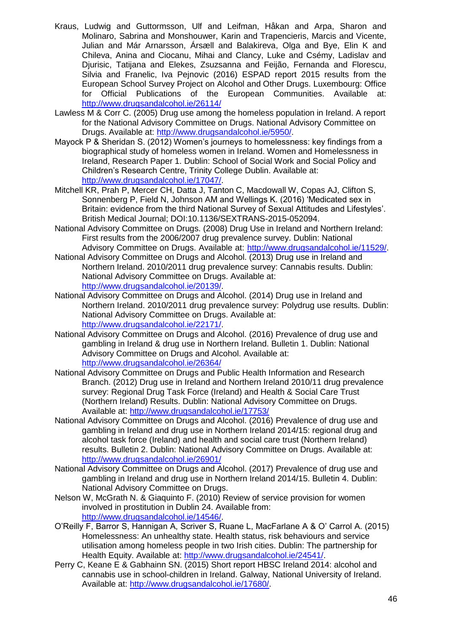- Kraus, Ludwig and Guttormsson, Ulf and Leifman, Håkan and Arpa, Sharon and Molinaro, Sabrina and Monshouwer, Karin and Trapencieris, Marcis and Vicente, Julian and Már Arnarsson, Ársæll and Balakireva, Olga and Bye, Elin K and Chileva, Anina and Ciocanu, Mihai and Clancy, Luke and Csémy, Ladislav and Djurisic, Tatijana and Elekes, Zsuzsanna and Feijão, Fernanda and Florescu, Silvia and Franelic, Iva Pejnovic (2016) ESPAD report 2015 results from the European School Survey Project on Alcohol and Other Drugs. Luxembourg: Office for Official Publications of the European Communities. Available at: <http://www.drugsandalcohol.ie/26114/>
- Lawless M & Corr C. (2005) Drug use among the homeless population in Ireland. A report for the National Advisory Committee on Drugs. National Advisory Committee on Drugs. Available at: [http://www.drugsandalcohol.ie/5950/.](http://www.drugsandalcohol.ie/5950/)
- Mayock P & Sheridan S. (2012) Women's journeys to homelessness: key findings from a biographical study of homeless women in Ireland. Women and Homelessness in Ireland, Research Paper 1. Dublin: School of Social Work and Social Policy and Children's Research Centre, Trinity College Dublin. Available at: [http://www.drugsandalcohol.ie/17047/.](http://www.drugsandalcohol.ie/17047/)
- Mitchell KR, Prah P, Mercer CH, Datta J, Tanton C, Macdowall W, Copas AJ, Clifton S, Sonnenberg P, Field N, Johnson AM and Wellings K. (2016) 'Medicated sex in Britain: evidence from the third National Survey of Sexual Attitudes and Lifestyles'. British Medical Journal; DOI:10.1136/SEXTRANS-2015-052094.
- National Advisory Committee on Drugs. (2008) Drug Use in Ireland and Northern Ireland: First results from the 2006/2007 drug prevalence survey. Dublin: National Advisory Committee on Drugs. Available at: [http://www.drugsandalcohol.ie/11529/.](http://www.drugsandalcohol.ie/11529/)
- National Advisory Committee on Drugs and Alcohol. (2013) Drug use in Ireland and Northern Ireland. 2010/2011 drug prevalence survey: Cannabis results. Dublin: National Advisory Committee on Drugs. Available at: [http://www.drugsandalcohol.ie/20139/.](http://www.drugsandalcohol.ie/20139/)
- National Advisory Committee on Drugs and Alcohol. (2014) Drug use in Ireland and Northern Ireland. 2010/2011 drug prevalence survey: Polydrug use results. Dublin: National Advisory Committee on Drugs. Available at: [http://www.drugsandalcohol.ie/22171/.](http://www.drugsandalcohol.ie/22171/)
- National Advisory Committee on Drugs and Alcohol. (2016) Prevalence of drug use and gambling in Ireland & drug use in Northern Ireland. Bulletin 1. Dublin: National Advisory Committee on Drugs and Alcohol. Available at: <http://www.drugsandalcohol.ie/26364/>
- National Advisory Committee on Drugs and Public Health Information and Research Branch. (2012) Drug use in Ireland and Northern Ireland 2010/11 drug prevalence survey: Regional Drug Task Force (Ireland) and Health & Social Care Trust (Northern Ireland) Results. Dublin: National Advisory Committee on Drugs. Available at:<http://www.drugsandalcohol.ie/17753/>
- National Advisory Committee on Drugs and Alcohol. (2016) Prevalence of drug use and gambling in Ireland and drug use in Northern Ireland 2014/15: regional drug and alcohol task force (Ireland) and health and social care trust (Northern Ireland) results. Bulletin 2. Dublin: National Advisory Committee on Drugs. Available at: <http://www.drugsandalcohol.ie/26901/>
- National Advisory Committee on Drugs and Alcohol. (2017) Prevalence of drug use and gambling in Ireland and drug use in Northern Ireland 2014/15. Bulletin 4. Dublin: National Advisory Committee on Drugs.
- Nelson W, McGrath N. & Giaquinto F. (2010) Review of service provision for women involved in prostitution in Dublin 24. Available from: [http://www.drugsandalcohol.ie/14546/.](http://www.drugsandalcohol.ie/14546/)
- O'Reilly F, Barror S, Hannigan A, Scriver S, Ruane L, MacFarlane A & O' Carrol A. (2015) Homelessness: An unhealthy state. Health status, risk behaviours and service utilisation among homeless people in two Irish cities. Dublin: The partnership for Health Equity. Available at: [http://www.drugsandalcohol.ie/24541/.](http://www.drugsandalcohol.ie/24541/)
- Perry C, Keane E & Gabhainn SN. (2015) Short report HBSC Ireland 2014: alcohol and cannabis use in school-children in Ireland. Galway, National University of Ireland. Available at: [http://www.drugsandalcohol.ie/17680/.](http://www.drugsandalcohol.ie/17680/)